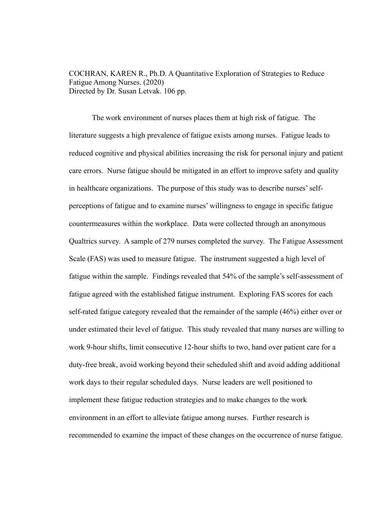COCHRAN, KAREN R., Ph.D. A Quantitative Exploration of Strategies to Reduce Fatigue Among Nurses. (2020) Directed by Dr. Susan Letvak. 106 pp.

The work environment of nurses places them at high risk of fatigue. The literature suggests a high prevalence of fatigue exists among nurses. Fatigue leads to reduced cognitive and physical abilities increasing the risk for personal injury and patient care errors. Nurse fatigue should be mitigated in an effort to improve safety and quality in healthcare organizations. The purpose of this study was to describe nurses' selfperceptions of fatigue and to examine nurses' willingness to engage in specific fatigue countermeasures within the workplace. Data were collected through an anonymous Qualtrics survey. A sample of 279 nurses completed the survey. The Fatigue Assessment Scale (FAS) was used to measure fatigue. The instrument suggested a high level of fatigue within the sample. Findings revealed that 54% of the sample's self-assessment of fatigue agreed with the established fatigue instrument. Exploring FAS scores for each self-rated fatigue category revealed that the remainder of the sample (46%) either over or under estimated their level of fatigue. This study revealed that many nurses are willing to work 9-hour shifts, limit consecutive 12-hour shifts to two, hand over patient care for a duty-free break, avoid working beyond their scheduled shift and avoid adding additional work days to their regular scheduled days. Nurse leaders are well positioned to implement these fatigue reduction strategies and to make changes to the work environment in an effort to alleviate fatigue among nurses. Further research is recommended to examine the impact of these changes on the occurrence of nurse fatigue.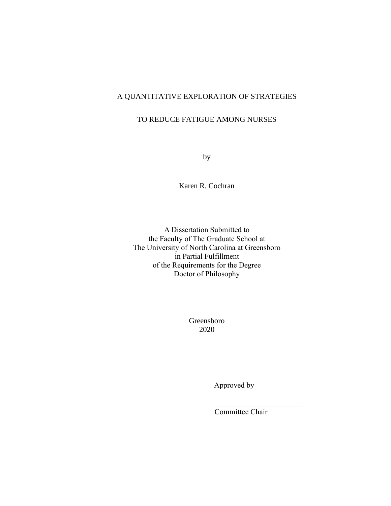# A QUANTITATIVE EXPLORATION OF STRATEGIES

## TO REDUCE FATIGUE AMONG NURSES

by

Karen R. Cochran

A Dissertation Submitted to the Faculty of The Graduate School at The University of North Carolina at Greensboro in Partial Fulfillment of the Requirements for the Degree Doctor of Philosophy

> Greensboro 2020

> > Approved by

Committee Chair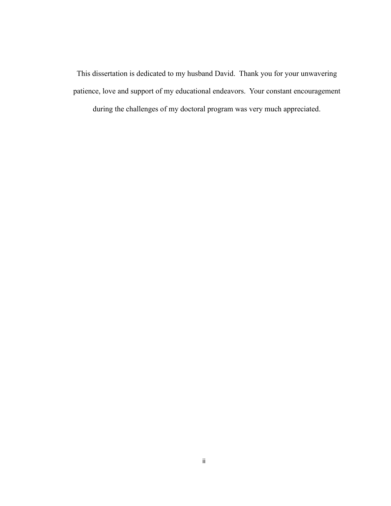This dissertation is dedicated to my husband David. Thank you for your unwavering patience, love and support of my educational endeavors. Your constant encouragement

during the challenges of my doctoral program was very much appreciated.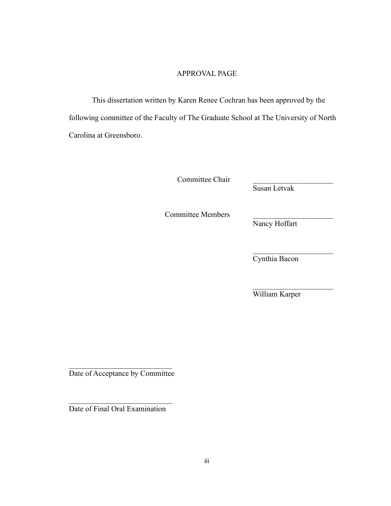## APPROVAL PAGE

This dissertation written by Karen Renee Cochran has been approved by the following committee of the Faculty of The Graduate School at The University of North Carolina at Greensboro.

Committee Chair

Susan Letvak

Committee Members. \_\_\_\_\_\_\_\_\_\_\_\_\_\_\_\_\_\_\_\_\_

Nancy Hoffart

Cynthia Bacon

William Karper

Date of Acceptance by Committee

Date of Final Oral Examination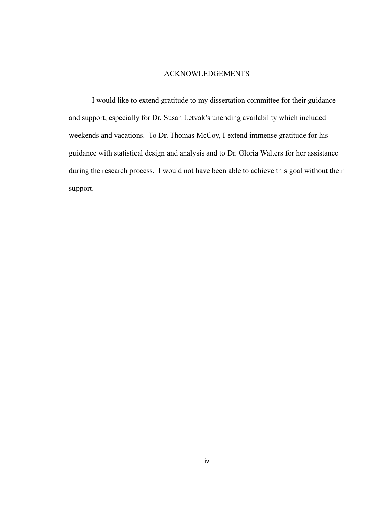## ACKNOWLEDGEMENTS

I would like to extend gratitude to my dissertation committee for their guidance and support, especially for Dr. Susan Letvak's unending availability which included weekends and vacations. To Dr. Thomas McCoy, I extend immense gratitude for his guidance with statistical design and analysis and to Dr. Gloria Walters for her assistance during the research process. I would not have been able to achieve this goal without their support.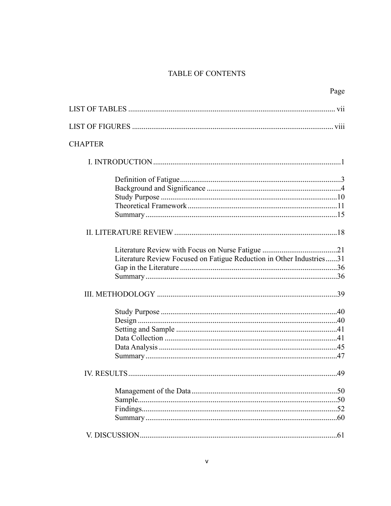# TABLE OF CONTENTS

|                                                                      | Page |
|----------------------------------------------------------------------|------|
|                                                                      |      |
|                                                                      |      |
| <b>CHAPTER</b>                                                       |      |
|                                                                      |      |
|                                                                      |      |
|                                                                      |      |
|                                                                      |      |
|                                                                      |      |
|                                                                      |      |
|                                                                      |      |
|                                                                      |      |
| Literature Review Focused on Fatigue Reduction in Other Industries31 |      |
|                                                                      |      |
|                                                                      |      |
|                                                                      |      |
|                                                                      |      |
|                                                                      |      |
|                                                                      |      |
|                                                                      |      |
|                                                                      |      |
|                                                                      |      |
| IV. RESULTS.                                                         | .49  |
|                                                                      |      |
|                                                                      |      |
|                                                                      |      |
|                                                                      |      |
|                                                                      |      |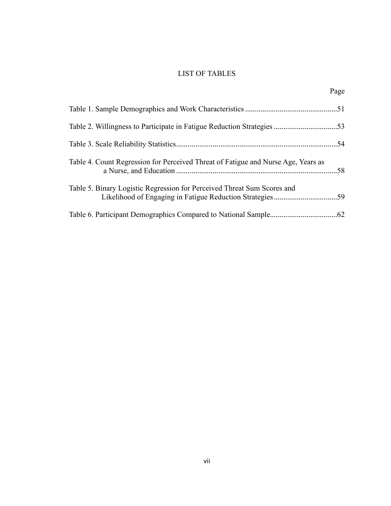## LIST OF TABLES

|                                                                                   | Page |
|-----------------------------------------------------------------------------------|------|
|                                                                                   |      |
| Table 2. Willingness to Participate in Fatigue Reduction Strategies 53            |      |
|                                                                                   |      |
| Table 4. Count Regression for Perceived Threat of Fatigue and Nurse Age, Years as |      |
| Table 5. Binary Logistic Regression for Perceived Threat Sum Scores and           |      |
|                                                                                   |      |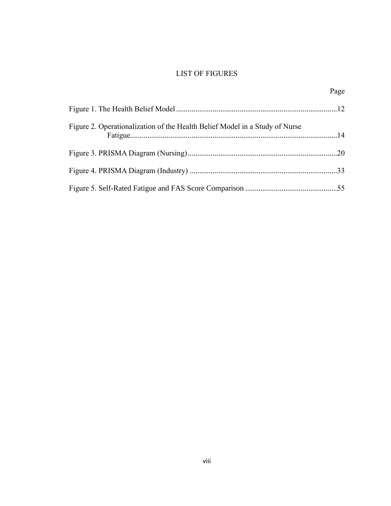# LIST OF FIGURES

|                                                                             | Page |
|-----------------------------------------------------------------------------|------|
|                                                                             |      |
| Figure 2. Operationalization of the Health Belief Model in a Study of Nurse |      |
|                                                                             |      |
|                                                                             |      |
|                                                                             |      |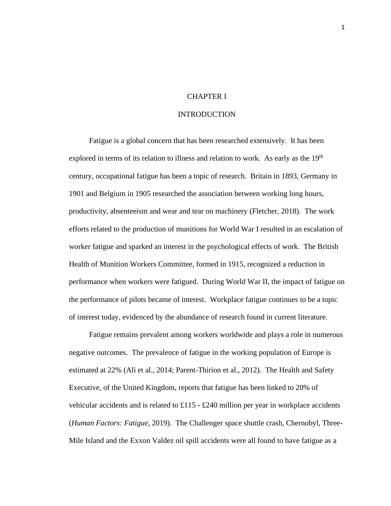## CHAPTER I

## INTRODUCTION

Fatigue is a global concern that has been researched extensively. It has been explored in terms of its relation to illness and relation to work. As early as the  $19<sup>th</sup>$ century, occupational fatigue has been a topic of research. Britain in 1893, Germany in 1901 and Belgium in 1905 researched the association between working long hours, productivity, absenteeism and wear and tear on machinery (Fletcher, 2018). The work efforts related to the production of munitions for World War I resulted in an escalation of worker fatigue and sparked an interest in the psychological effects of work. The British Health of Munition Workers Committee, formed in 1915, recognized a reduction in performance when workers were fatigued. During World War II, the impact of fatigue on the performance of pilots became of interest. Workplace fatigue continues to be a topic of interest today, evidenced by the abundance of research found in current literature.

Fatigue remains prevalent among workers worldwide and plays a role in numerous negative outcomes. The prevalence of fatigue in the working population of Europe is estimated at 22% (Ali et al., 2014; Parent-Thirion et al., 2012). The Health and Safety Executive, of the United Kingdom, reports that fatigue has been linked to 20% of vehicular accidents and is related to £115 - £240 million per year in workplace accidents (*Human Factors: Fatigue*, 2019). The Challenger space shuttle crash, Chernobyl, Three-Mile Island and the Exxon Valdez oil spill accidents were all found to have fatigue as a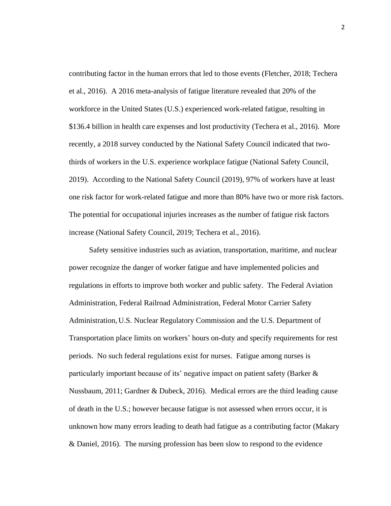contributing factor in the human errors that led to those events (Fletcher, 2018; Techera et al., 2016). A 2016 meta-analysis of fatigue literature revealed that 20% of the workforce in the United States (U.S.) experienced work-related fatigue, resulting in \$136.4 billion in health care expenses and lost productivity (Techera et al., 2016). More recently, a 2018 survey conducted by the National Safety Council indicated that twothirds of workers in the U.S. experience workplace fatigue (National Safety Council, 2019). According to the National Safety Council (2019), 97% of workers have at least one risk factor for work-related fatigue and more than 80% have two or more risk factors. The potential for occupational injuries increases as the number of fatigue risk factors increase (National Safety Council, 2019; Techera et al., 2016).

Safety sensitive industries such as aviation, transportation, maritime, and nuclear power recognize the danger of worker fatigue and have implemented policies and regulations in efforts to improve both worker and public safety. The Federal Aviation Administration, Federal Railroad Administration, Federal Motor Carrier Safety Administration, U.S. Nuclear Regulatory Commission and the U.S. Department of Transportation place limits on workers' hours on-duty and specify requirements for rest periods. No such federal regulations exist for nurses. Fatigue among nurses is particularly important because of its' negative impact on patient safety (Barker & Nussbaum, 2011; Gardner & Dubeck, 2016). Medical errors are the third leading cause of death in the U.S.; however because fatigue is not assessed when errors occur, it is unknown how many errors leading to death had fatigue as a contributing factor (Makary & Daniel, 2016). The nursing profession has been slow to respond to the evidence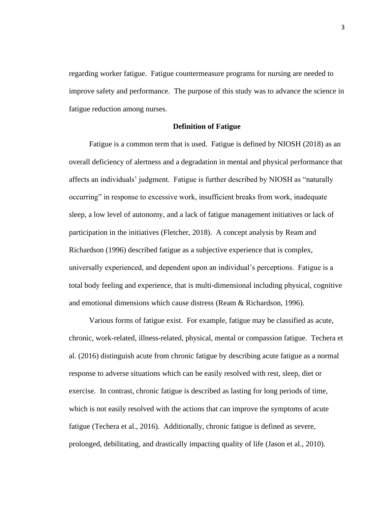regarding worker fatigue. Fatigue countermeasure programs for nursing are needed to improve safety and performance. The purpose of this study was to advance the science in fatigue reduction among nurses.

## **Definition of Fatigue**

Fatigue is a common term that is used. Fatigue is defined by NIOSH (2018) as an overall deficiency of alertness and a degradation in mental and physical performance that affects an individuals' judgment. Fatigue is further described by NIOSH as "naturally occurring" in response to excessive work, insufficient breaks from work, inadequate sleep, a low level of autonomy, and a lack of fatigue management initiatives or lack of participation in the initiatives (Fletcher, 2018). A concept analysis by Ream and Richardson (1996) described fatigue as a subjective experience that is complex, universally experienced, and dependent upon an individual's perceptions. Fatigue is a total body feeling and experience, that is multi-dimensional including physical, cognitive and emotional dimensions which cause distress (Ream & Richardson, 1996).

Various forms of fatigue exist. For example, fatigue may be classified as acute, chronic, work-related, illness-related, physical, mental or compassion fatigue. Techera et al. (2016) distinguish acute from chronic fatigue by describing acute fatigue as a normal response to adverse situations which can be easily resolved with rest, sleep, diet or exercise. In contrast, chronic fatigue is described as lasting for long periods of time, which is not easily resolved with the actions that can improve the symptoms of acute fatigue (Techera et al., 2016). Additionally, chronic fatigue is defined as severe, prolonged, debilitating, and drastically impacting quality of life (Jason et al., 2010).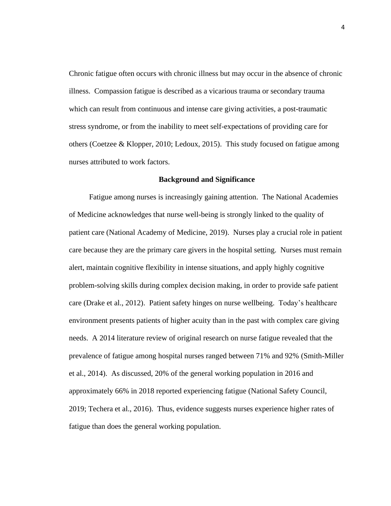Chronic fatigue often occurs with chronic illness but may occur in the absence of chronic illness. Compassion fatigue is described as a vicarious trauma or secondary trauma which can result from continuous and intense care giving activities, a post-traumatic stress syndrome, or from the inability to meet self-expectations of providing care for others (Coetzee & Klopper, 2010; Ledoux, 2015). This study focused on fatigue among nurses attributed to work factors.

## **Background and Significance**

Fatigue among nurses is increasingly gaining attention. The National Academies of Medicine acknowledges that nurse well-being is strongly linked to the quality of patient care (National Academy of Medicine, 2019). Nurses play a crucial role in patient care because they are the primary care givers in the hospital setting. Nurses must remain alert, maintain cognitive flexibility in intense situations, and apply highly cognitive problem-solving skills during complex decision making, in order to provide safe patient care (Drake et al., 2012). Patient safety hinges on nurse wellbeing. Today's healthcare environment presents patients of higher acuity than in the past with complex care giving needs. A 2014 literature review of original research on nurse fatigue revealed that the prevalence of fatigue among hospital nurses ranged between 71% and 92% (Smith-Miller et al., 2014). As discussed, 20% of the general working population in 2016 and approximately 66% in 2018 reported experiencing fatigue (National Safety Council, 2019; Techera et al., 2016). Thus, evidence suggests nurses experience higher rates of fatigue than does the general working population.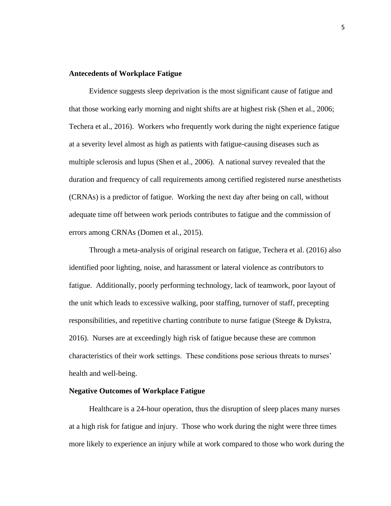## **Antecedents of Workplace Fatigue**

Evidence suggests sleep deprivation is the most significant cause of fatigue and that those working early morning and night shifts are at highest risk (Shen et al., 2006; Techera et al., 2016). Workers who frequently work during the night experience fatigue at a severity level almost as high as patients with fatigue-causing diseases such as multiple sclerosis and lupus (Shen et al., 2006). A national survey revealed that the duration and frequency of call requirements among certified registered nurse anesthetists (CRNAs) is a predictor of fatigue. Working the next day after being on call, without adequate time off between work periods contributes to fatigue and the commission of errors among CRNAs (Domen et al., 2015).

Through a meta-analysis of original research on fatigue, Techera et al. (2016) also identified poor lighting, noise, and harassment or lateral violence as contributors to fatigue. Additionally, poorly performing technology, lack of teamwork, poor layout of the unit which leads to excessive walking, poor staffing, turnover of staff, precepting responsibilities, and repetitive charting contribute to nurse fatigue (Steege & Dykstra, 2016). Nurses are at exceedingly high risk of fatigue because these are common characteristics of their work settings. These conditions pose serious threats to nurses' health and well-being.

## **Negative Outcomes of Workplace Fatigue**

Healthcare is a 24-hour operation, thus the disruption of sleep places many nurses at a high risk for fatigue and injury. Those who work during the night were three times more likely to experience an injury while at work compared to those who work during the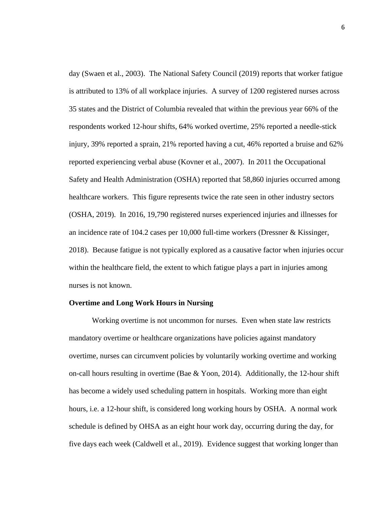day (Swaen et al., 2003). The National Safety Council (2019) reports that worker fatigue is attributed to 13% of all workplace injuries. A survey of 1200 registered nurses across 35 states and the District of Columbia revealed that within the previous year 66% of the respondents worked 12-hour shifts, 64% worked overtime, 25% reported a needle-stick injury, 39% reported a sprain, 21% reported having a cut, 46% reported a bruise and 62% reported experiencing verbal abuse (Kovner et al., 2007). In 2011 the Occupational Safety and Health Administration (OSHA) reported that 58,860 injuries occurred among healthcare workers. This figure represents twice the rate seen in other industry sectors (OSHA, 2019). In 2016, 19,790 registered nurses experienced injuries and illnesses for an incidence rate of 104.2 cases per 10,000 full-time workers (Dressner & Kissinger, 2018). Because fatigue is not typically explored as a causative factor when injuries occur within the healthcare field, the extent to which fatigue plays a part in injuries among nurses is not known.

## **Overtime and Long Work Hours in Nursing**

Working overtime is not uncommon for nurses. Even when state law restricts mandatory overtime or healthcare organizations have policies against mandatory overtime, nurses can circumvent policies by voluntarily working overtime and working on-call hours resulting in overtime (Bae  $& Y$ oon, 2014). Additionally, the 12-hour shift has become a widely used scheduling pattern in hospitals. Working more than eight hours, i.e. a 12-hour shift, is considered long working hours by OSHA. A normal work schedule is defined by OHSA as an eight hour work day, occurring during the day, for five days each week (Caldwell et al., 2019). Evidence suggest that working longer than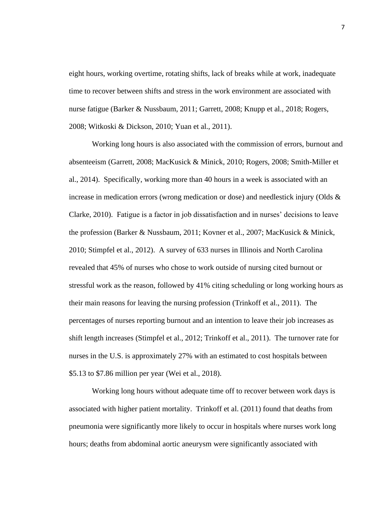eight hours, working overtime, rotating shifts, lack of breaks while at work, inadequate time to recover between shifts and stress in the work environment are associated with nurse fatigue (Barker & Nussbaum, 2011; Garrett, 2008; Knupp et al., 2018; Rogers, 2008; Witkoski & Dickson, 2010; Yuan et al., 2011).

Working long hours is also associated with the commission of errors, burnout and absenteeism (Garrett, 2008; MacKusick & Minick, 2010; Rogers, 2008; Smith-Miller et al., 2014). Specifically, working more than 40 hours in a week is associated with an increase in medication errors (wrong medication or dose) and needlestick injury (Olds  $\&$ Clarke, 2010). Fatigue is a factor in job dissatisfaction and in nurses' decisions to leave the profession (Barker & Nussbaum, 2011; Kovner et al., 2007; MacKusick & Minick, 2010; Stimpfel et al., 2012). A survey of 633 nurses in Illinois and North Carolina revealed that 45% of nurses who chose to work outside of nursing cited burnout or stressful work as the reason, followed by 41% citing scheduling or long working hours as their main reasons for leaving the nursing profession (Trinkoff et al., 2011). The percentages of nurses reporting burnout and an intention to leave their job increases as shift length increases (Stimpfel et al., 2012; Trinkoff et al., 2011). The turnover rate for nurses in the U.S. is approximately 27% with an estimated to cost hospitals between \$5.13 to \$7.86 million per year (Wei et al., 2018).

Working long hours without adequate time off to recover between work days is associated with higher patient mortality. Trinkoff et al. (2011) found that deaths from pneumonia were significantly more likely to occur in hospitals where nurses work long hours; deaths from abdominal aortic aneurysm were significantly associated with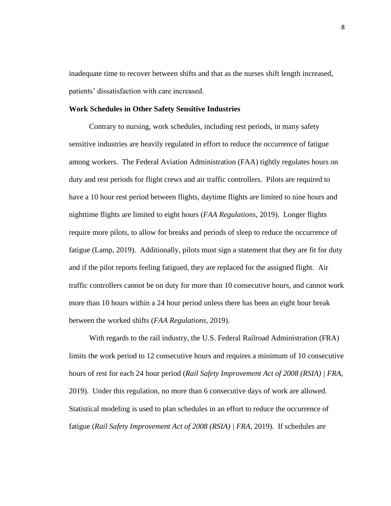inadequate time to recover between shifts and that as the nurses shift length increased, patients' dissatisfaction with care increased.

#### **Work Schedules in Other Safety Sensitive Industries**

Contrary to nursing, work schedules, including rest periods, in many safety sensitive industries are heavily regulated in effort to reduce the occurrence of fatigue among workers. The Federal Aviation Administration (FAA) tightly regulates hours on duty and rest periods for flight crews and air traffic controllers. Pilots are required to have a 10 hour rest period between flights, daytime flights are limited to nine hours and nighttime flights are limited to eight hours (*FAA Regulations*, 2019). Longer flights require more pilots, to allow for breaks and periods of sleep to reduce the occurrence of fatigue (Lamp, 2019). Additionally, pilots must sign a statement that they are fit for duty and if the pilot reports feeling fatigued, they are replaced for the assigned flight. Air traffic controllers cannot be on duty for more than 10 consecutive hours, and cannot work more than 10 hours within a 24 hour period unless there has been an eight hour break between the worked shifts (*FAA Regulations*, 2019).

With regards to the rail industry, the U.S. Federal Railroad Administration (FRA) limits the work period to 12 consecutive hours and requires a minimum of 10 consecutive hours of rest for each 24 hour period (*Rail Safety Improvement Act of 2008 (RSIA) | FRA*, 2019). Under this regulation, no more than 6 consecutive days of work are allowed. Statistical modeling is used to plan schedules in an effort to reduce the occurrence of fatigue (*Rail Safety Improvement Act of 2008 (RSIA) | FRA*, 2019). If schedules are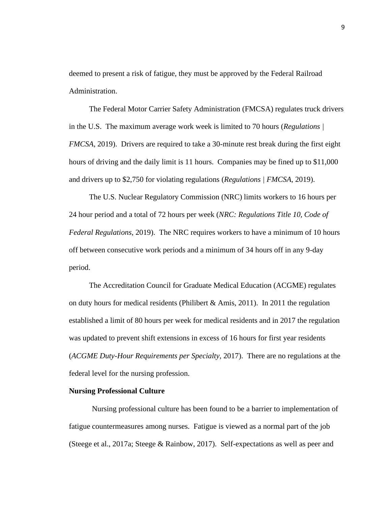deemed to present a risk of fatigue, they must be approved by the Federal Railroad Administration.

The Federal Motor Carrier Safety Administration (FMCSA) regulates truck drivers in the U.S. The maximum average work week is limited to 70 hours (*Regulations | FMCSA*, 2019). Drivers are required to take a 30-minute rest break during the first eight hours of driving and the daily limit is 11 hours. Companies may be fined up to \$11,000 and drivers up to \$2,750 for violating regulations (*Regulations | FMCSA*, 2019).

The U.S. Nuclear Regulatory Commission (NRC) limits workers to 16 hours per 24 hour period and a total of 72 hours per week (*NRC: Regulations Title 10, Code of Federal Regulations*, 2019). The NRC requires workers to have a minimum of 10 hours off between consecutive work periods and a minimum of 34 hours off in any 9-day period.

The Accreditation Council for Graduate Medical Education (ACGME) regulates on duty hours for medical residents (Philibert & Amis, 2011). In 2011 the regulation established a limit of 80 hours per week for medical residents and in 2017 the regulation was updated to prevent shift extensions in excess of 16 hours for first year residents (*ACGME Duty-Hour Requirements per Specialty*, 2017). There are no regulations at the federal level for the nursing profession.

#### **Nursing Professional Culture**

Nursing professional culture has been found to be a barrier to implementation of fatigue countermeasures among nurses. Fatigue is viewed as a normal part of the job (Steege et al., 2017a; Steege & Rainbow, 2017). Self-expectations as well as peer and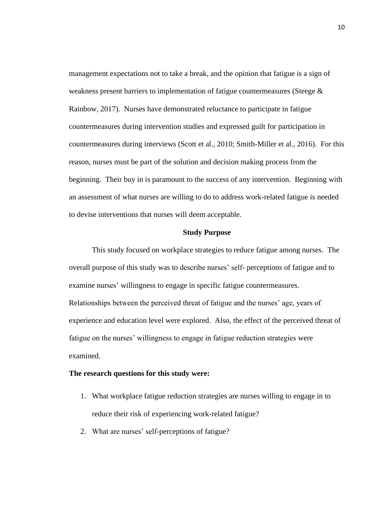management expectations not to take a break, and the opinion that fatigue is a sign of weakness present barriers to implementation of fatigue countermeasures (Steege & Rainbow, 2017). Nurses have demonstrated reluctance to participate in fatigue countermeasures during intervention studies and expressed guilt for participation in countermeasures during interviews (Scott et al., 2010; Smith-Miller et al., 2016). For this reason, nurses must be part of the solution and decision making process from the beginning. Their buy in is paramount to the success of any intervention. Beginning with an assessment of what nurses are willing to do to address work-related fatigue is needed to devise interventions that nurses will deem acceptable.

## **Study Purpose**

This study focused on workplace strategies to reduce fatigue among nurses. The overall purpose of this study was to describe nurses' self- perceptions of fatigue and to examine nurses' willingness to engage in specific fatigue countermeasures. Relationships between the perceived threat of fatigue and the nurses' age, years of experience and education level were explored. Also, the effect of the perceived threat of fatigue on the nurses' willingness to engage in fatigue reduction strategies were examined.

#### **The research questions for this study were:**

- 1. What workplace fatigue reduction strategies are nurses willing to engage in to reduce their risk of experiencing work-related fatigue?
- 2. What are nurses' self-perceptions of fatigue?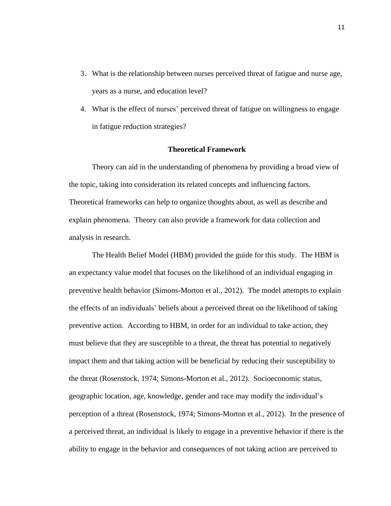- 3. What is the relationship between nurses perceived threat of fatigue and nurse age, years as a nurse, and education level?
- 4. What is the effect of nurses' perceived threat of fatigue on willingness to engage in fatigue reduction strategies?

## **Theoretical Framework**

Theory can aid in the understanding of phenomena by providing a broad view of the topic, taking into consideration its related concepts and influencing factors. Theoretical frameworks can help to organize thoughts about, as well as describe and explain phenomena. Theory can also provide a framework for data collection and analysis in research.

The Health Belief Model (HBM) provided the guide for this study. The HBM is an expectancy value model that focuses on the likelihood of an individual engaging in preventive health behavior (Simons-Morton et al., 2012). The model attempts to explain the effects of an individuals' beliefs about a perceived threat on the likelihood of taking preventive action. According to HBM, in order for an individual to take action, they must believe that they are susceptible to a threat, the threat has potential to negatively impact them and that taking action will be beneficial by reducing their susceptibility to the threat (Rosenstock, 1974; Simons-Morton et al., 2012). Socioeconomic status, geographic location, age, knowledge, gender and race may modify the individual's perception of a threat (Rosenstock, 1974; Simons-Morton et al., 2012). In the presence of a perceived threat, an individual is likely to engage in a preventive behavior if there is the ability to engage in the behavior and consequences of not taking action are perceived to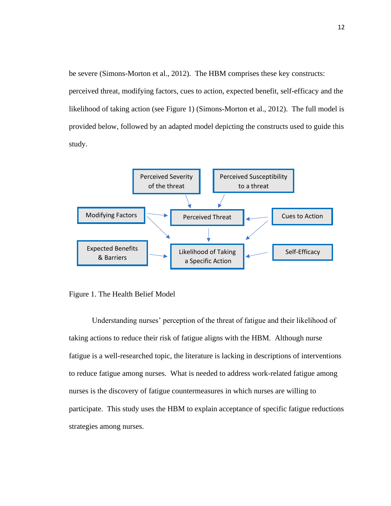be severe (Simons-Morton et al., 2012). The HBM comprises these key constructs: perceived threat, modifying factors, cues to action, expected benefit, self-efficacy and the likelihood of taking action (see Figure 1) (Simons-Morton et al., 2012). The full model is provided below, followed by an adapted model depicting the constructs used to guide this study.



Figure 1. The Health Belief Model

Understanding nurses' perception of the threat of fatigue and their likelihood of taking actions to reduce their risk of fatigue aligns with the HBM. Although nurse fatigue is a well-researched topic, the literature is lacking in descriptions of interventions to reduce fatigue among nurses. What is needed to address work-related fatigue among nurses is the discovery of fatigue countermeasures in which nurses are willing to participate. This study uses the HBM to explain acceptance of specific fatigue reductions strategies among nurses.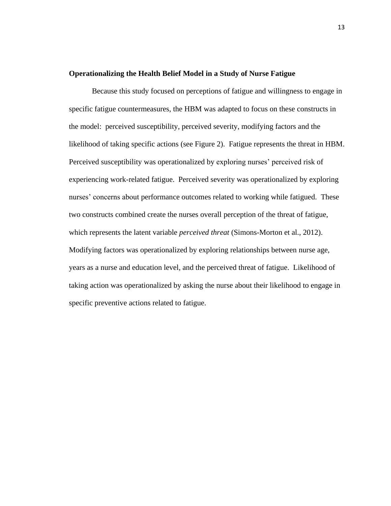## **Operationalizing the Health Belief Model in a Study of Nurse Fatigue**

Because this study focused on perceptions of fatigue and willingness to engage in specific fatigue countermeasures, the HBM was adapted to focus on these constructs in the model: perceived susceptibility, perceived severity, modifying factors and the likelihood of taking specific actions (see Figure 2). Fatigue represents the threat in HBM. Perceived susceptibility was operationalized by exploring nurses' perceived risk of experiencing work-related fatigue. Perceived severity was operationalized by exploring nurses' concerns about performance outcomes related to working while fatigued. These two constructs combined create the nurses overall perception of the threat of fatigue, which represents the latent variable *perceived threat* (Simons-Morton et al., 2012). Modifying factors was operationalized by exploring relationships between nurse age, years as a nurse and education level, and the perceived threat of fatigue. Likelihood of taking action was operationalized by asking the nurse about their likelihood to engage in specific preventive actions related to fatigue.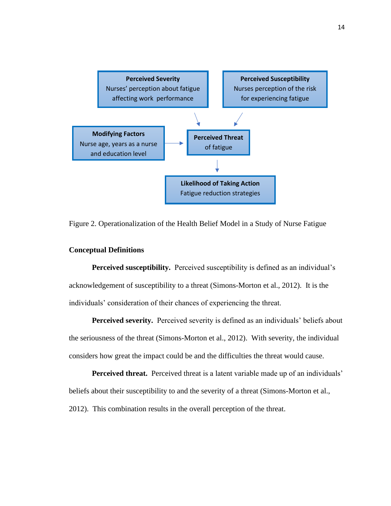

Figure 2. Operationalization of the Health Belief Model in a Study of Nurse Fatigue

## **Conceptual Definitions**

**Perceived susceptibility.** Perceived susceptibility is defined as an individual's acknowledgement of susceptibility to a threat (Simons-Morton et al., 2012). It is the individuals' consideration of their chances of experiencing the threat.

**Perceived severity.** Perceived severity is defined as an individuals' beliefs about the seriousness of the threat (Simons-Morton et al., 2012). With severity, the individual considers how great the impact could be and the difficulties the threat would cause.

**Perceived threat.** Perceived threat is a latent variable made up of an individuals' beliefs about their susceptibility to and the severity of a threat (Simons-Morton et al., 2012). This combination results in the overall perception of the threat.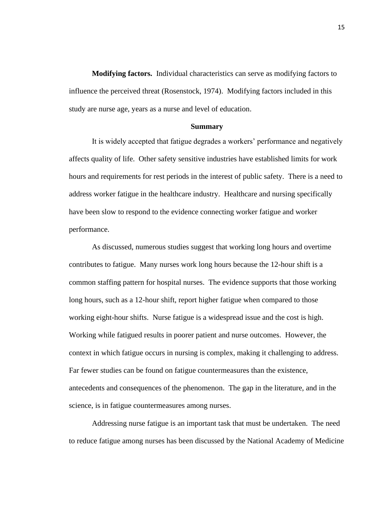**Modifying factors.** Individual characteristics can serve as modifying factors to influence the perceived threat (Rosenstock, 1974). Modifying factors included in this study are nurse age, years as a nurse and level of education.

#### **Summary**

It is widely accepted that fatigue degrades a workers' performance and negatively affects quality of life. Other safety sensitive industries have established limits for work hours and requirements for rest periods in the interest of public safety. There is a need to address worker fatigue in the healthcare industry. Healthcare and nursing specifically have been slow to respond to the evidence connecting worker fatigue and worker performance.

As discussed, numerous studies suggest that working long hours and overtime contributes to fatigue. Many nurses work long hours because the 12-hour shift is a common staffing pattern for hospital nurses. The evidence supports that those working long hours, such as a 12-hour shift, report higher fatigue when compared to those working eight-hour shifts. Nurse fatigue is a widespread issue and the cost is high. Working while fatigued results in poorer patient and nurse outcomes. However, the context in which fatigue occurs in nursing is complex, making it challenging to address. Far fewer studies can be found on fatigue countermeasures than the existence, antecedents and consequences of the phenomenon. The gap in the literature, and in the science, is in fatigue countermeasures among nurses.

Addressing nurse fatigue is an important task that must be undertaken. The need to reduce fatigue among nurses has been discussed by the National Academy of Medicine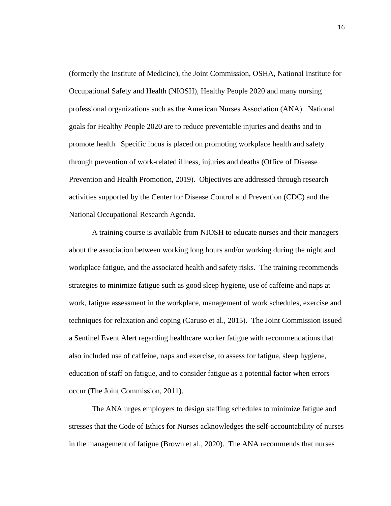(formerly the Institute of Medicine), the Joint Commission, OSHA, National Institute for Occupational Safety and Health (NIOSH), Healthy People 2020 and many nursing professional organizations such as the American Nurses Association (ANA). National goals for Healthy People 2020 are to reduce preventable injuries and deaths and to promote health. Specific focus is placed on promoting workplace health and safety through prevention of work-related illness, injuries and deaths (Office of Disease Prevention and Health Promotion, 2019). Objectives are addressed through research activities supported by the Center for Disease Control and Prevention (CDC) and the National Occupational Research Agenda.

A training course is available from NIOSH to educate nurses and their managers about the association between working long hours and/or working during the night and workplace fatigue, and the associated health and safety risks. The training recommends strategies to minimize fatigue such as good sleep hygiene, use of caffeine and naps at work, fatigue assessment in the workplace, management of work schedules, exercise and techniques for relaxation and coping (Caruso et al., 2015). The Joint Commission issued a Sentinel Event Alert regarding healthcare worker fatigue with recommendations that also included use of caffeine, naps and exercise, to assess for fatigue, sleep hygiene, education of staff on fatigue, and to consider fatigue as a potential factor when errors occur (The Joint Commission, 2011).

The ANA urges employers to design staffing schedules to minimize fatigue and stresses that the Code of Ethics for Nurses acknowledges the self-accountability of nurses in the management of fatigue (Brown et al., 2020). The ANA recommends that nurses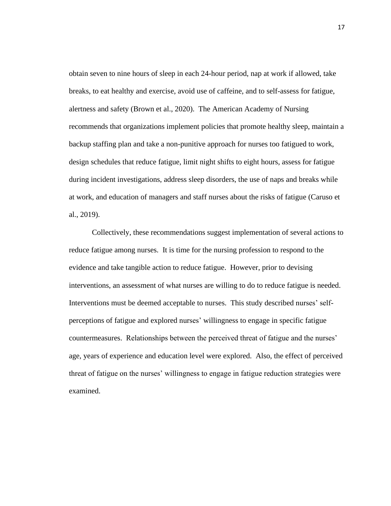obtain seven to nine hours of sleep in each 24-hour period, nap at work if allowed, take breaks, to eat healthy and exercise, avoid use of caffeine, and to self-assess for fatigue, alertness and safety (Brown et al., 2020). The American Academy of Nursing recommends that organizations implement policies that promote healthy sleep, maintain a backup staffing plan and take a non-punitive approach for nurses too fatigued to work, design schedules that reduce fatigue, limit night shifts to eight hours, assess for fatigue during incident investigations, address sleep disorders, the use of naps and breaks while at work, and education of managers and staff nurses about the risks of fatigue (Caruso et al., 2019).

Collectively, these recommendations suggest implementation of several actions to reduce fatigue among nurses. It is time for the nursing profession to respond to the evidence and take tangible action to reduce fatigue. However, prior to devising interventions, an assessment of what nurses are willing to do to reduce fatigue is needed. Interventions must be deemed acceptable to nurses. This study described nurses' selfperceptions of fatigue and explored nurses' willingness to engage in specific fatigue countermeasures. Relationships between the perceived threat of fatigue and the nurses' age, years of experience and education level were explored. Also, the effect of perceived threat of fatigue on the nurses' willingness to engage in fatigue reduction strategies were examined.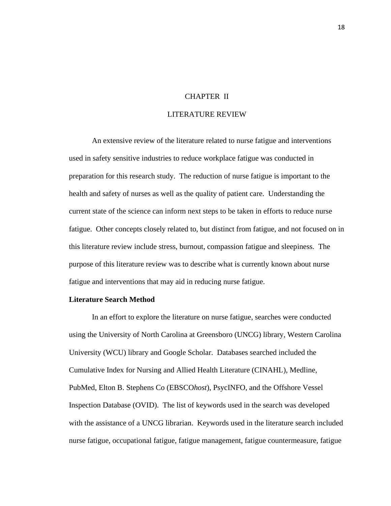## CHAPTER II

## LITERATURE REVIEW

An extensive review of the literature related to nurse fatigue and interventions used in safety sensitive industries to reduce workplace fatigue was conducted in preparation for this research study. The reduction of nurse fatigue is important to the health and safety of nurses as well as the quality of patient care. Understanding the current state of the science can inform next steps to be taken in efforts to reduce nurse fatigue. Other concepts closely related to, but distinct from fatigue, and not focused on in this literature review include stress, burnout, compassion fatigue and sleepiness. The purpose of this literature review was to describe what is currently known about nurse fatigue and interventions that may aid in reducing nurse fatigue.

## **Literature Search Method**

In an effort to explore the literature on nurse fatigue, searches were conducted using the University of North Carolina at Greensboro (UNCG) library, Western Carolina University (WCU) library and Google Scholar. Databases searched included the Cumulative Index for Nursing and Allied Health Literature (CINAHL), Medline, PubMed, Elton B. Stephens Co (EBSCO*host*), PsycINFO, and the Offshore Vessel Inspection Database (OVID). The list of keywords used in the search was developed with the assistance of a UNCG librarian. Keywords used in the literature search included nurse fatigue, occupational fatigue, fatigue management, fatigue countermeasure, fatigue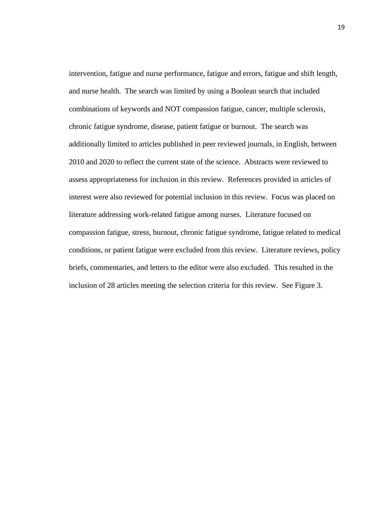intervention, fatigue and nurse performance, fatigue and errors, fatigue and shift length, and nurse health. The search was limited by using a Boolean search that included combinations of keywords and NOT compassion fatigue, cancer, multiple sclerosis, chronic fatigue syndrome, disease, patient fatigue or burnout. The search was additionally limited to articles published in peer reviewed journals, in English, between 2010 and 2020 to reflect the current state of the science. Abstracts were reviewed to assess appropriateness for inclusion in this review. References provided in articles of interest were also reviewed for potential inclusion in this review. Focus was placed on literature addressing work-related fatigue among nurses. Literature focused on compassion fatigue, stress, burnout, chronic fatigue syndrome, fatigue related to medical conditions, or patient fatigue were excluded from this review. Literature reviews, policy briefs, commentaries, and letters to the editor were also excluded. This resulted in the inclusion of 28 articles meeting the selection criteria for this review. See Figure 3.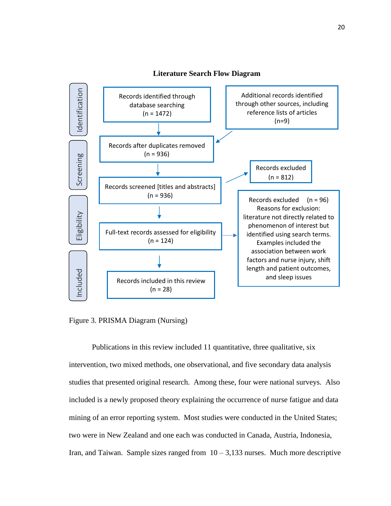

**Literature Search Flow Diagram**

Figure 3. PRISMA Diagram (Nursing)

Publications in this review included 11 quantitative, three qualitative, six intervention, two mixed methods, one observational, and five secondary data analysis studies that presented original research. Among these, four were national surveys. Also included is a newly proposed theory explaining the occurrence of nurse fatigue and data mining of an error reporting system. Most studies were conducted in the United States; two were in New Zealand and one each was conducted in Canada, Austria, Indonesia, Iran, and Taiwan. Sample sizes ranged from  $10 - 3,133$  nurses. Much more descriptive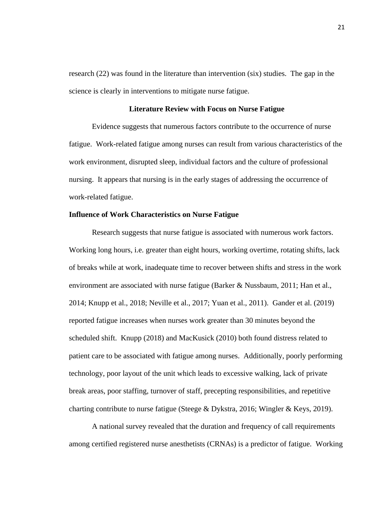research (22) was found in the literature than intervention (six) studies. The gap in the science is clearly in interventions to mitigate nurse fatigue.

## **Literature Review with Focus on Nurse Fatigue**

Evidence suggests that numerous factors contribute to the occurrence of nurse fatigue. Work-related fatigue among nurses can result from various characteristics of the work environment, disrupted sleep, individual factors and the culture of professional nursing. It appears that nursing is in the early stages of addressing the occurrence of work-related fatigue.

## **Influence of Work Characteristics on Nurse Fatigue**

Research suggests that nurse fatigue is associated with numerous work factors. Working long hours, i.e. greater than eight hours, working overtime, rotating shifts, lack of breaks while at work, inadequate time to recover between shifts and stress in the work environment are associated with nurse fatigue (Barker & Nussbaum, 2011; Han et al., 2014; Knupp et al., 2018; Neville et al., 2017; Yuan et al., 2011). Gander et al. (2019) reported fatigue increases when nurses work greater than 30 minutes beyond the scheduled shift. Knupp (2018) and MacKusick (2010) both found distress related to patient care to be associated with fatigue among nurses. Additionally, poorly performing technology, poor layout of the unit which leads to excessive walking, lack of private break areas, poor staffing, turnover of staff, precepting responsibilities, and repetitive charting contribute to nurse fatigue (Steege & Dykstra, 2016; Wingler & Keys, 2019).

A national survey revealed that the duration and frequency of call requirements among certified registered nurse anesthetists (CRNAs) is a predictor of fatigue. Working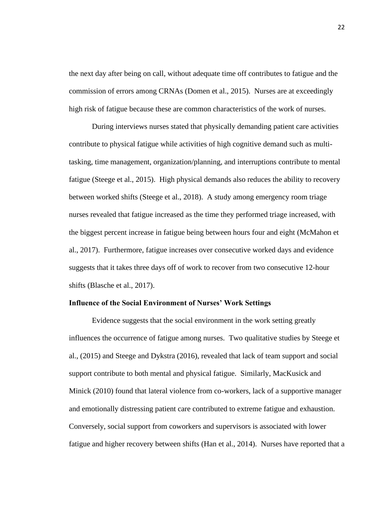the next day after being on call, without adequate time off contributes to fatigue and the commission of errors among CRNAs (Domen et al., 2015). Nurses are at exceedingly high risk of fatigue because these are common characteristics of the work of nurses.

During interviews nurses stated that physically demanding patient care activities contribute to physical fatigue while activities of high cognitive demand such as multitasking, time management, organization/planning, and interruptions contribute to mental fatigue (Steege et al., 2015). High physical demands also reduces the ability to recovery between worked shifts (Steege et al., 2018). A study among emergency room triage nurses revealed that fatigue increased as the time they performed triage increased, with the biggest percent increase in fatigue being between hours four and eight (McMahon et al., 2017). Furthermore, fatigue increases over consecutive worked days and evidence suggests that it takes three days off of work to recover from two consecutive 12-hour shifts (Blasche et al., 2017).

## **Influence of the Social Environment of Nurses' Work Settings**

Evidence suggests that the social environment in the work setting greatly influences the occurrence of fatigue among nurses. Two qualitative studies by Steege et al., (2015) and Steege and Dykstra (2016), revealed that lack of team support and social support contribute to both mental and physical fatigue. Similarly, MacKusick and Minick (2010) found that lateral violence from co-workers, lack of a supportive manager and emotionally distressing patient care contributed to extreme fatigue and exhaustion. Conversely, social support from coworkers and supervisors is associated with lower fatigue and higher recovery between shifts (Han et al., 2014). Nurses have reported that a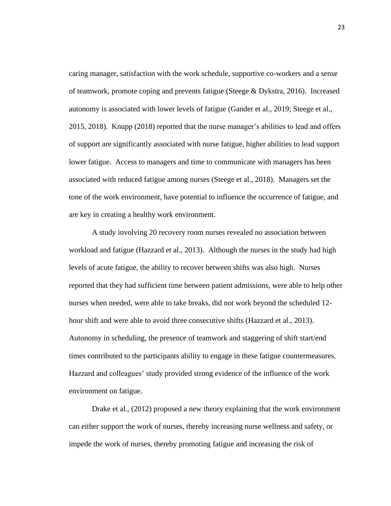caring manager, satisfaction with the work schedule, supportive co-workers and a sense of teamwork, promote coping and prevents fatigue (Steege & Dykstra, 2016). Increased autonomy is associated with lower levels of fatigue (Gander et al., 2019; Steege et al., 2015, 2018). Knupp (2018) reported that the nurse manager's abilities to lead and offers of support are significantly associated with nurse fatigue, higher abilities to lead support lower fatigue. Access to managers and time to communicate with managers has been associated with reduced fatigue among nurses (Steege et al., 2018). Managers set the tone of the work environment, have potential to influence the occurrence of fatigue, and are key in creating a healthy work environment.

A study involving 20 recovery room nurses revealed no association between workload and fatigue (Hazzard et al., 2013). Although the nurses in the study had high levels of acute fatigue, the ability to recover between shifts was also high. Nurses reported that they had sufficient time between patient admissions, were able to help other nurses when needed, were able to take breaks, did not work beyond the scheduled 12 hour shift and were able to avoid three consecutive shifts (Hazzard et al., 2013). Autonomy in scheduling, the presence of teamwork and staggering of shift start/end times contributed to the participants ability to engage in these fatigue countermeasures. Hazzard and colleagues' study provided strong evidence of the influence of the work environment on fatigue.

Drake et al., (2012) proposed a new theory explaining that the work environment can either support the work of nurses, thereby increasing nurse wellness and safety, or impede the work of nurses, thereby promoting fatigue and increasing the risk of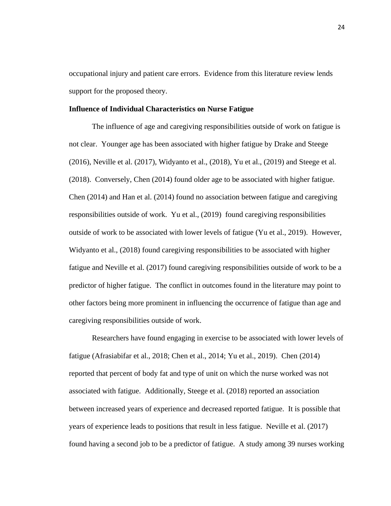occupational injury and patient care errors. Evidence from this literature review lends support for the proposed theory.

#### **Influence of Individual Characteristics on Nurse Fatigue**

The influence of age and caregiving responsibilities outside of work on fatigue is not clear. Younger age has been associated with higher fatigue by Drake and Steege (2016), Neville et al. (2017), Widyanto et al., (2018), Yu et al., (2019) and Steege et al. (2018). Conversely, Chen (2014) found older age to be associated with higher fatigue. Chen (2014) and Han et al. (2014) found no association between fatigue and caregiving responsibilities outside of work. Yu et al., (2019) found caregiving responsibilities outside of work to be associated with lower levels of fatigue (Yu et al., 2019). However, Widyanto et al., (2018) found caregiving responsibilities to be associated with higher fatigue and Neville et al. (2017) found caregiving responsibilities outside of work to be a predictor of higher fatigue. The conflict in outcomes found in the literature may point to other factors being more prominent in influencing the occurrence of fatigue than age and caregiving responsibilities outside of work.

Researchers have found engaging in exercise to be associated with lower levels of fatigue (Afrasiabifar et al., 2018; Chen et al., 2014; Yu et al., 2019). Chen (2014) reported that percent of body fat and type of unit on which the nurse worked was not associated with fatigue. Additionally, Steege et al. (2018) reported an association between increased years of experience and decreased reported fatigue. It is possible that years of experience leads to positions that result in less fatigue. Neville et al. (2017) found having a second job to be a predictor of fatigue. A study among 39 nurses working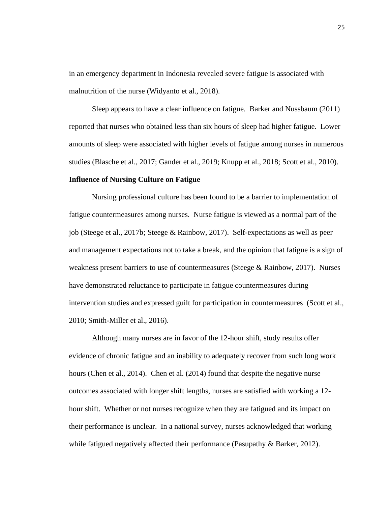in an emergency department in Indonesia revealed severe fatigue is associated with malnutrition of the nurse (Widyanto et al., 2018).

Sleep appears to have a clear influence on fatigue. Barker and Nussbaum (2011) reported that nurses who obtained less than six hours of sleep had higher fatigue. Lower amounts of sleep were associated with higher levels of fatigue among nurses in numerous studies (Blasche et al., 2017; Gander et al., 2019; Knupp et al., 2018; Scott et al., 2010).

## **Influence of Nursing Culture on Fatigue**

Nursing professional culture has been found to be a barrier to implementation of fatigue countermeasures among nurses. Nurse fatigue is viewed as a normal part of the job (Steege et al., 2017b; Steege & Rainbow, 2017). Self-expectations as well as peer and management expectations not to take a break, and the opinion that fatigue is a sign of weakness present barriers to use of countermeasures (Steege & Rainbow, 2017). Nurses have demonstrated reluctance to participate in fatigue countermeasures during intervention studies and expressed guilt for participation in countermeasures (Scott et al., 2010; Smith-Miller et al., 2016).

Although many nurses are in favor of the 12-hour shift, study results offer evidence of chronic fatigue and an inability to adequately recover from such long work hours (Chen et al., 2014). Chen et al. (2014) found that despite the negative nurse outcomes associated with longer shift lengths, nurses are satisfied with working a 12 hour shift. Whether or not nurses recognize when they are fatigued and its impact on their performance is unclear. In a national survey, nurses acknowledged that working while fatigued negatively affected their performance (Pasupathy & Barker, 2012).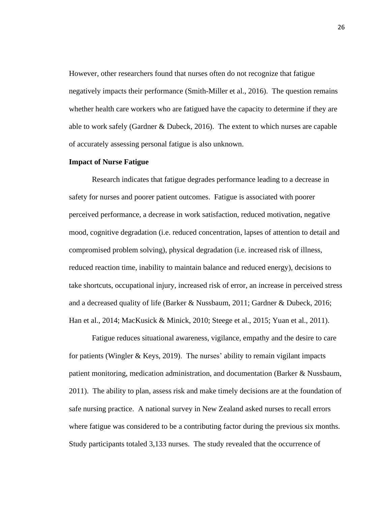However, other researchers found that nurses often do not recognize that fatigue negatively impacts their performance (Smith-Miller et al., 2016). The question remains whether health care workers who are fatigued have the capacity to determine if they are able to work safely (Gardner & Dubeck, 2016). The extent to which nurses are capable of accurately assessing personal fatigue is also unknown.

#### **Impact of Nurse Fatigue**

Research indicates that fatigue degrades performance leading to a decrease in safety for nurses and poorer patient outcomes. Fatigue is associated with poorer perceived performance, a decrease in work satisfaction, reduced motivation, negative mood, cognitive degradation (i.e. reduced concentration, lapses of attention to detail and compromised problem solving), physical degradation (i.e. increased risk of illness, reduced reaction time, inability to maintain balance and reduced energy), decisions to take shortcuts, occupational injury, increased risk of error, an increase in perceived stress and a decreased quality of life (Barker & Nussbaum, 2011; Gardner & Dubeck, 2016; Han et al., 2014; MacKusick & Minick, 2010; Steege et al., 2015; Yuan et al., 2011).

Fatigue reduces situational awareness, vigilance, empathy and the desire to care for patients (Wingler & Keys, 2019). The nurses' ability to remain vigilant impacts patient monitoring, medication administration, and documentation (Barker & Nussbaum, 2011). The ability to plan, assess risk and make timely decisions are at the foundation of safe nursing practice. A national survey in New Zealand asked nurses to recall errors where fatigue was considered to be a contributing factor during the previous six months. Study participants totaled 3,133 nurses. The study revealed that the occurrence of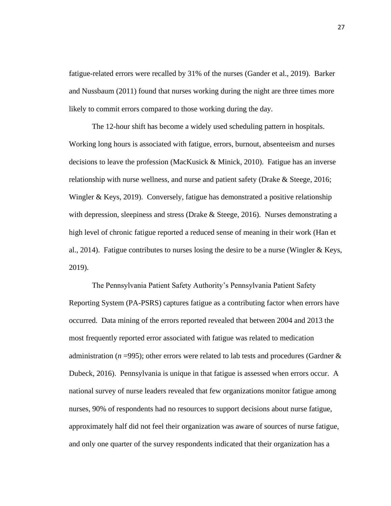fatigue-related errors were recalled by 31% of the nurses (Gander et al., 2019). Barker and Nussbaum (2011) found that nurses working during the night are three times more likely to commit errors compared to those working during the day.

The 12-hour shift has become a widely used scheduling pattern in hospitals. Working long hours is associated with fatigue, errors, burnout, absenteeism and nurses decisions to leave the profession (MacKusick & Minick, 2010). Fatigue has an inverse relationship with nurse wellness, and nurse and patient safety (Drake & Steege, 2016; Wingler & Keys, 2019). Conversely, fatigue has demonstrated a positive relationship with depression, sleepiness and stress (Drake & Steege, 2016). Nurses demonstrating a high level of chronic fatigue reported a reduced sense of meaning in their work (Han et al., 2014). Fatigue contributes to nurses losing the desire to be a nurse (Wingler & Keys, 2019).

The Pennsylvania Patient Safety Authority's Pennsylvania Patient Safety Reporting System (PA-PSRS) captures fatigue as a contributing factor when errors have occurred. Data mining of the errors reported revealed that between 2004 and 2013 the most frequently reported error associated with fatigue was related to medication administration ( $n = 995$ ); other errors were related to lab tests and procedures (Gardner  $\&$ Dubeck, 2016). Pennsylvania is unique in that fatigue is assessed when errors occur. A national survey of nurse leaders revealed that few organizations monitor fatigue among nurses, 90% of respondents had no resources to support decisions about nurse fatigue, approximately half did not feel their organization was aware of sources of nurse fatigue, and only one quarter of the survey respondents indicated that their organization has a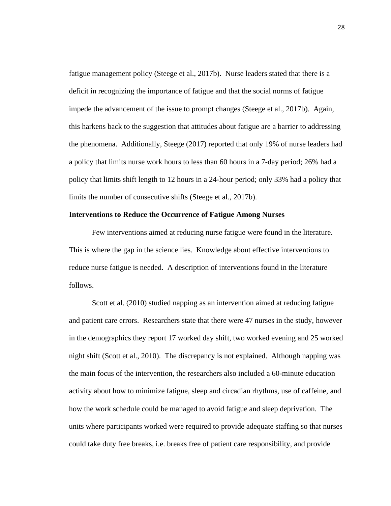fatigue management policy (Steege et al., 2017b). Nurse leaders stated that there is a deficit in recognizing the importance of fatigue and that the social norms of fatigue impede the advancement of the issue to prompt changes (Steege et al., 2017b). Again, this harkens back to the suggestion that attitudes about fatigue are a barrier to addressing the phenomena. Additionally, Steege (2017) reported that only 19% of nurse leaders had a policy that limits nurse work hours to less than 60 hours in a 7-day period; 26% had a policy that limits shift length to 12 hours in a 24-hour period; only 33% had a policy that limits the number of consecutive shifts (Steege et al., 2017b).

## **Interventions to Reduce the Occurrence of Fatigue Among Nurses**

Few interventions aimed at reducing nurse fatigue were found in the literature. This is where the gap in the science lies. Knowledge about effective interventions to reduce nurse fatigue is needed. A description of interventions found in the literature follows.

Scott et al. (2010) studied napping as an intervention aimed at reducing fatigue and patient care errors. Researchers state that there were 47 nurses in the study, however in the demographics they report 17 worked day shift, two worked evening and 25 worked night shift (Scott et al., 2010). The discrepancy is not explained. Although napping was the main focus of the intervention, the researchers also included a 60-minute education activity about how to minimize fatigue, sleep and circadian rhythms, use of caffeine, and how the work schedule could be managed to avoid fatigue and sleep deprivation. The units where participants worked were required to provide adequate staffing so that nurses could take duty free breaks, i.e. breaks free of patient care responsibility, and provide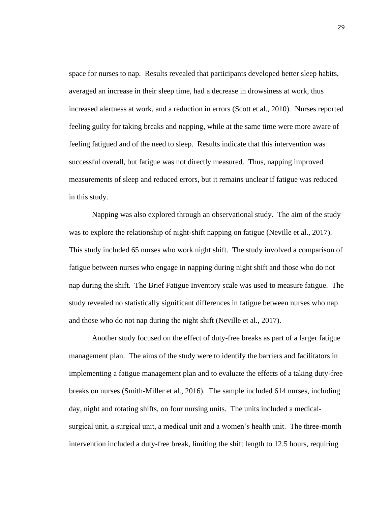space for nurses to nap. Results revealed that participants developed better sleep habits, averaged an increase in their sleep time, had a decrease in drowsiness at work, thus increased alertness at work, and a reduction in errors (Scott et al., 2010). Nurses reported feeling guilty for taking breaks and napping, while at the same time were more aware of feeling fatigued and of the need to sleep. Results indicate that this intervention was successful overall, but fatigue was not directly measured. Thus, napping improved measurements of sleep and reduced errors, but it remains unclear if fatigue was reduced in this study.

Napping was also explored through an observational study. The aim of the study was to explore the relationship of night-shift napping on fatigue (Neville et al., 2017). This study included 65 nurses who work night shift. The study involved a comparison of fatigue between nurses who engage in napping during night shift and those who do not nap during the shift. The Brief Fatigue Inventory scale was used to measure fatigue. The study revealed no statistically significant differences in fatigue between nurses who nap and those who do not nap during the night shift (Neville et al., 2017).

Another study focused on the effect of duty-free breaks as part of a larger fatigue management plan. The aims of the study were to identify the barriers and facilitators in implementing a fatigue management plan and to evaluate the effects of a taking duty-free breaks on nurses (Smith-Miller et al., 2016). The sample included 614 nurses, including day, night and rotating shifts, on four nursing units. The units included a medicalsurgical unit, a surgical unit, a medical unit and a women's health unit. The three-month intervention included a duty-free break, limiting the shift length to 12.5 hours, requiring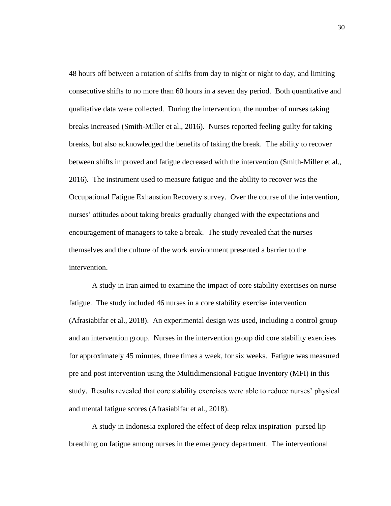48 hours off between a rotation of shifts from day to night or night to day, and limiting consecutive shifts to no more than 60 hours in a seven day period. Both quantitative and qualitative data were collected. During the intervention, the number of nurses taking breaks increased (Smith-Miller et al., 2016). Nurses reported feeling guilty for taking breaks, but also acknowledged the benefits of taking the break. The ability to recover between shifts improved and fatigue decreased with the intervention (Smith-Miller et al., 2016). The instrument used to measure fatigue and the ability to recover was the Occupational Fatigue Exhaustion Recovery survey. Over the course of the intervention, nurses' attitudes about taking breaks gradually changed with the expectations and encouragement of managers to take a break. The study revealed that the nurses themselves and the culture of the work environment presented a barrier to the intervention.

A study in Iran aimed to examine the impact of core stability exercises on nurse fatigue. The study included 46 nurses in a core stability exercise intervention (Afrasiabifar et al., 2018). An experimental design was used, including a control group and an intervention group. Nurses in the intervention group did core stability exercises for approximately 45 minutes, three times a week, for six weeks. Fatigue was measured pre and post intervention using the Multidimensional Fatigue Inventory (MFI) in this study. Results revealed that core stability exercises were able to reduce nurses' physical and mental fatigue scores (Afrasiabifar et al., 2018).

A study in Indonesia explored the effect of deep relax inspiration–pursed lip breathing on fatigue among nurses in the emergency department. The interventional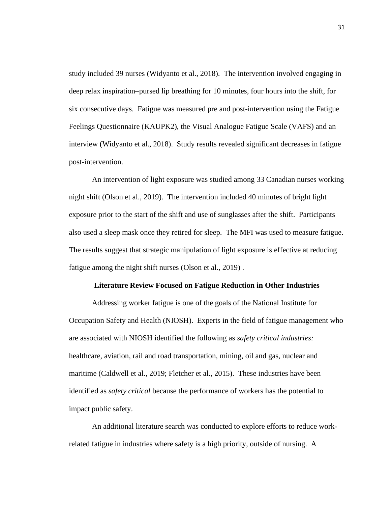study included 39 nurses (Widyanto et al., 2018). The intervention involved engaging in deep relax inspiration–pursed lip breathing for 10 minutes, four hours into the shift, for six consecutive days. Fatigue was measured pre and post-intervention using the Fatigue Feelings Questionnaire (KAUPK2), the Visual Analogue Fatigue Scale (VAFS) and an interview (Widyanto et al., 2018). Study results revealed significant decreases in fatigue post-intervention.

An intervention of light exposure was studied among 33 Canadian nurses working night shift (Olson et al., 2019). The intervention included 40 minutes of bright light exposure prior to the start of the shift and use of sunglasses after the shift. Participants also used a sleep mask once they retired for sleep. The MFI was used to measure fatigue. The results suggest that strategic manipulation of light exposure is effective at reducing fatigue among the night shift nurses (Olson et al., 2019) .

#### **Literature Review Focused on Fatigue Reduction in Other Industries**

Addressing worker fatigue is one of the goals of the National Institute for Occupation Safety and Health (NIOSH). Experts in the field of fatigue management who are associated with NIOSH identified the following as *safety critical industries:*  healthcare, aviation, rail and road transportation, mining, oil and gas, nuclear and maritime (Caldwell et al., 2019; Fletcher et al., 2015). These industries have been identified as *safety critical* because the performance of workers has the potential to impact public safety.

An additional literature search was conducted to explore efforts to reduce workrelated fatigue in industries where safety is a high priority, outside of nursing. A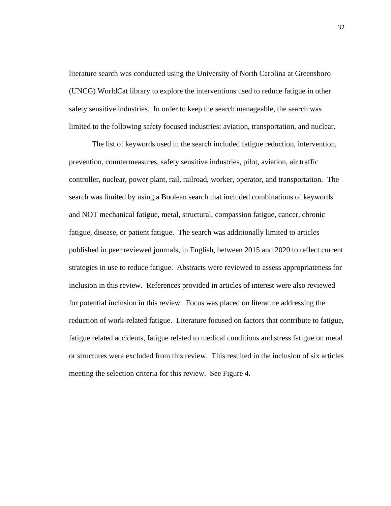literature search was conducted using the University of North Carolina at Greensboro (UNCG) WorldCat library to explore the interventions used to reduce fatigue in other safety sensitive industries. In order to keep the search manageable, the search was limited to the following safety focused industries: aviation, transportation, and nuclear.

The list of keywords used in the search included fatigue reduction, intervention, prevention, countermeasures, safety sensitive industries, pilot, aviation, air traffic controller, nuclear, power plant, rail, railroad, worker, operator, and transportation. The search was limited by using a Boolean search that included combinations of keywords and NOT mechanical fatigue, metal, structural, compassion fatigue, cancer, chronic fatigue, disease, or patient fatigue. The search was additionally limited to articles published in peer reviewed journals, in English, between 2015 and 2020 to reflect current strategies in use to reduce fatigue. Abstracts were reviewed to assess appropriateness for inclusion in this review. References provided in articles of interest were also reviewed for potential inclusion in this review. Focus was placed on literature addressing the reduction of work-related fatigue. Literature focused on factors that contribute to fatigue, fatigue related accidents, fatigue related to medical conditions and stress fatigue on metal or structures were excluded from this review. This resulted in the inclusion of six articles meeting the selection criteria for this review. See Figure 4.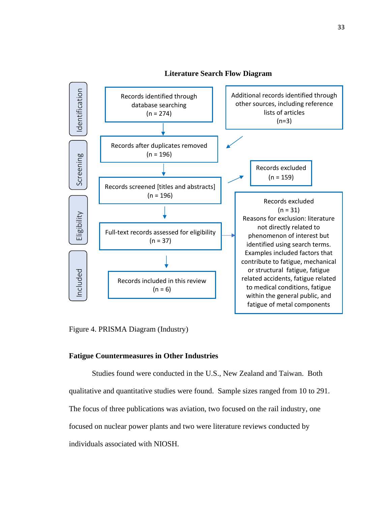

Figure 4. PRISMA Diagram (Industry)

#### **Fatigue Countermeasures in Other Industries**

Studies found were conducted in the U.S., New Zealand and Taiwan. Both qualitative and quantitative studies were found. Sample sizes ranged from 10 to 291. The focus of three publications was aviation, two focused on the rail industry, one focused on nuclear power plants and two were literature reviews conducted by individuals associated with NIOSH.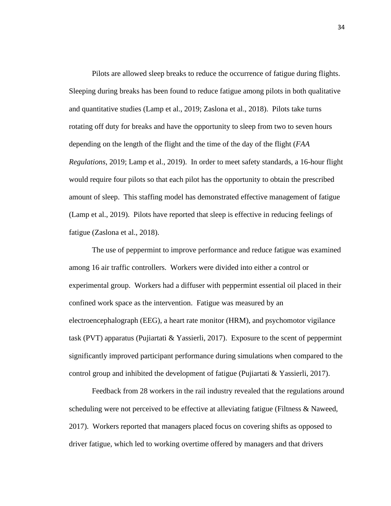Pilots are allowed sleep breaks to reduce the occurrence of fatigue during flights. Sleeping during breaks has been found to reduce fatigue among pilots in both qualitative and quantitative studies (Lamp et al., 2019; Zaslona et al., 2018). Pilots take turns rotating off duty for breaks and have the opportunity to sleep from two to seven hours depending on the length of the flight and the time of the day of the flight (*FAA Regulations*, 2019; Lamp et al., 2019). In order to meet safety standards, a 16-hour flight would require four pilots so that each pilot has the opportunity to obtain the prescribed amount of sleep. This staffing model has demonstrated effective management of fatigue (Lamp et al., 2019). Pilots have reported that sleep is effective in reducing feelings of fatigue (Zaslona et al., 2018).

The use of peppermint to improve performance and reduce fatigue was examined among 16 air traffic controllers. Workers were divided into either a control or experimental group. Workers had a diffuser with peppermint essential oil placed in their confined work space as the intervention. Fatigue was measured by an electroencephalograph (EEG), a heart rate monitor (HRM), and psychomotor vigilance task (PVT) apparatus (Pujiartati  $& Y$  Yassierli, 2017). Exposure to the scent of peppermint significantly improved participant performance during simulations when compared to the control group and inhibited the development of fatigue (Pujiartati  $& Y$  assierli, 2017).

Feedback from 28 workers in the rail industry revealed that the regulations around scheduling were not perceived to be effective at alleviating fatigue (Filtness & Naweed, 2017). Workers reported that managers placed focus on covering shifts as opposed to driver fatigue, which led to working overtime offered by managers and that drivers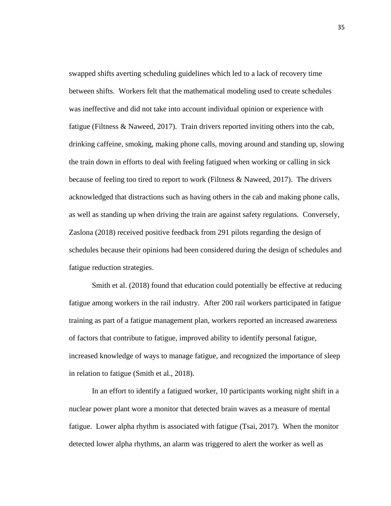swapped shifts averting scheduling guidelines which led to a lack of recovery time between shifts. Workers felt that the mathematical modeling used to create schedules was ineffective and did not take into account individual opinion or experience with fatigue (Filtness & Naweed, 2017). Train drivers reported inviting others into the cab, drinking caffeine, smoking, making phone calls, moving around and standing up, slowing the train down in efforts to deal with feeling fatigued when working or calling in sick because of feeling too tired to report to work (Filtness & Naweed, 2017). The drivers acknowledged that distractions such as having others in the cab and making phone calls, as well as standing up when driving the train are against safety regulations. Conversely, Zaslona (2018) received positive feedback from 291 pilots regarding the design of schedules because their opinions had been considered during the design of schedules and fatigue reduction strategies.

Smith et al. (2018) found that education could potentially be effective at reducing fatigue among workers in the rail industry. After 200 rail workers participated in fatigue training as part of a fatigue management plan, workers reported an increased awareness of factors that contribute to fatigue, improved ability to identify personal fatigue, increased knowledge of ways to manage fatigue, and recognized the importance of sleep in relation to fatigue (Smith et al., 2018).

In an effort to identify a fatigued worker, 10 participants working night shift in a nuclear power plant wore a monitor that detected brain waves as a measure of mental fatigue. Lower alpha rhythm is associated with fatigue (Tsai, 2017). When the monitor detected lower alpha rhythms, an alarm was triggered to alert the worker as well as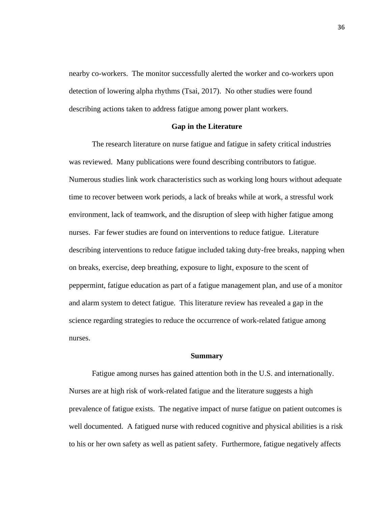nearby co-workers. The monitor successfully alerted the worker and co-workers upon detection of lowering alpha rhythms (Tsai, 2017). No other studies were found describing actions taken to address fatigue among power plant workers.

## **Gap in the Literature**

The research literature on nurse fatigue and fatigue in safety critical industries was reviewed. Many publications were found describing contributors to fatigue. Numerous studies link work characteristics such as working long hours without adequate time to recover between work periods, a lack of breaks while at work, a stressful work environment, lack of teamwork, and the disruption of sleep with higher fatigue among nurses. Far fewer studies are found on interventions to reduce fatigue. Literature describing interventions to reduce fatigue included taking duty-free breaks, napping when on breaks, exercise, deep breathing, exposure to light, exposure to the scent of peppermint, fatigue education as part of a fatigue management plan, and use of a monitor and alarm system to detect fatigue. This literature review has revealed a gap in the science regarding strategies to reduce the occurrence of work-related fatigue among nurses.

#### **Summary**

Fatigue among nurses has gained attention both in the U.S. and internationally. Nurses are at high risk of work-related fatigue and the literature suggests a high prevalence of fatigue exists. The negative impact of nurse fatigue on patient outcomes is well documented. A fatigued nurse with reduced cognitive and physical abilities is a risk to his or her own safety as well as patient safety. Furthermore, fatigue negatively affects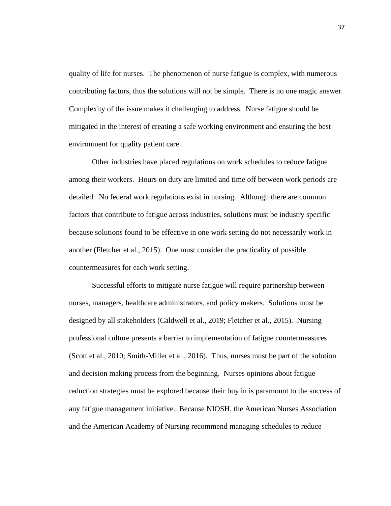quality of life for nurses. The phenomenon of nurse fatigue is complex, with numerous contributing factors, thus the solutions will not be simple. There is no one magic answer. Complexity of the issue makes it challenging to address. Nurse fatigue should be mitigated in the interest of creating a safe working environment and ensuring the best environment for quality patient care.

Other industries have placed regulations on work schedules to reduce fatigue among their workers. Hours on duty are limited and time off between work periods are detailed. No federal work regulations exist in nursing. Although there are common factors that contribute to fatigue across industries, solutions must be industry specific because solutions found to be effective in one work setting do not necessarily work in another (Fletcher et al., 2015). One must consider the practicality of possible countermeasures for each work setting.

Successful efforts to mitigate nurse fatigue will require partnership between nurses, managers, healthcare administrators, and policy makers. Solutions must be designed by all stakeholders (Caldwell et al., 2019; Fletcher et al., 2015). Nursing professional culture presents a barrier to implementation of fatigue countermeasures (Scott et al., 2010; Smith-Miller et al., 2016). Thus, nurses must be part of the solution and decision making process from the beginning. Nurses opinions about fatigue reduction strategies must be explored because their buy in is paramount to the success of any fatigue management initiative. Because NIOSH, the American Nurses Association and the American Academy of Nursing recommend managing schedules to reduce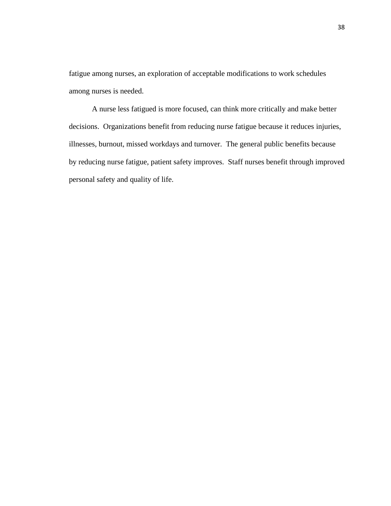fatigue among nurses, an exploration of acceptable modifications to work schedules among nurses is needed.

A nurse less fatigued is more focused, can think more critically and make better decisions. Organizations benefit from reducing nurse fatigue because it reduces injuries, illnesses, burnout, missed workdays and turnover. The general public benefits because by reducing nurse fatigue, patient safety improves. Staff nurses benefit through improved personal safety and quality of life.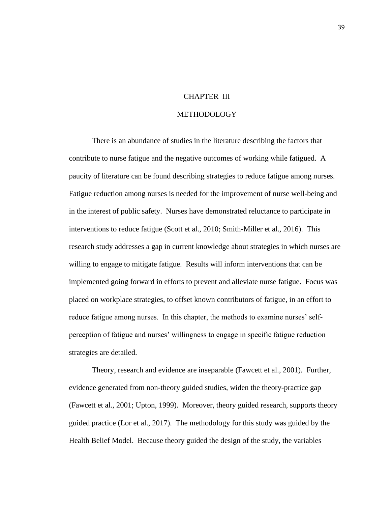# CHAPTER III

# METHODOLOGY

There is an abundance of studies in the literature describing the factors that contribute to nurse fatigue and the negative outcomes of working while fatigued. A paucity of literature can be found describing strategies to reduce fatigue among nurses. Fatigue reduction among nurses is needed for the improvement of nurse well-being and in the interest of public safety. Nurses have demonstrated reluctance to participate in interventions to reduce fatigue (Scott et al., 2010; Smith-Miller et al., 2016). This research study addresses a gap in current knowledge about strategies in which nurses are willing to engage to mitigate fatigue. Results will inform interventions that can be implemented going forward in efforts to prevent and alleviate nurse fatigue. Focus was placed on workplace strategies, to offset known contributors of fatigue, in an effort to reduce fatigue among nurses. In this chapter, the methods to examine nurses' selfperception of fatigue and nurses' willingness to engage in specific fatigue reduction strategies are detailed.

Theory, research and evidence are inseparable (Fawcett et al., 2001). Further, evidence generated from non-theory guided studies, widen the theory-practice gap (Fawcett et al., 2001; Upton, 1999). Moreover, theory guided research, supports theory guided practice (Lor et al., 2017). The methodology for this study was guided by the Health Belief Model. Because theory guided the design of the study, the variables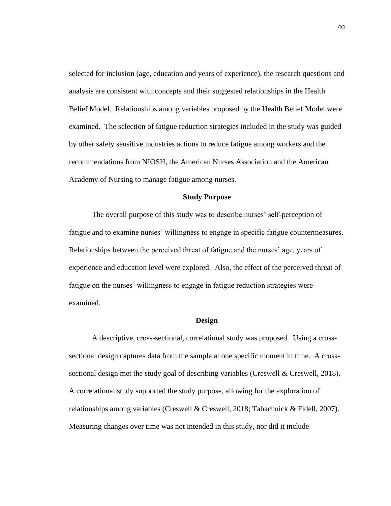selected for inclusion (age, education and years of experience), the research questions and analysis are consistent with concepts and their suggested relationships in the Health Belief Model. Relationships among variables proposed by the Health Belief Model were examined. The selection of fatigue reduction strategies included in the study was guided by other safety sensitive industries actions to reduce fatigue among workers and the recommendations from NIOSH, the American Nurses Association and the American Academy of Nursing to manage fatigue among nurses.

#### **Study Purpose**

The overall purpose of this study was to describe nurses' self-perception of fatigue and to examine nurses' willingness to engage in specific fatigue countermeasures. Relationships between the perceived threat of fatigue and the nurses' age, years of experience and education level were explored. Also, the effect of the perceived threat of fatigue on the nurses' willingness to engage in fatigue reduction strategies were examined.

#### **Design**

A descriptive, cross-sectional, correlational study was proposed. Using a crosssectional design captures data from the sample at one specific moment in time. A crosssectional design met the study goal of describing variables (Creswell & Creswell, 2018). A correlational study supported the study purpose, allowing for the exploration of relationships among variables (Creswell & Creswell, 2018; Tabachnick & Fidell, 2007). Measuring changes over time was not intended in this study, nor did it include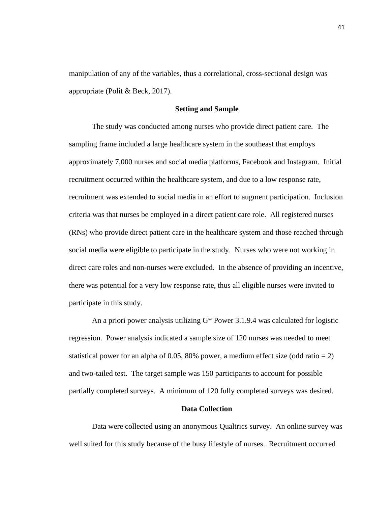manipulation of any of the variables, thus a correlational, cross-sectional design was appropriate (Polit & Beck, 2017).

### **Setting and Sample**

The study was conducted among nurses who provide direct patient care. The sampling frame included a large healthcare system in the southeast that employs approximately 7,000 nurses and social media platforms, Facebook and Instagram. Initial recruitment occurred within the healthcare system, and due to a low response rate, recruitment was extended to social media in an effort to augment participation. Inclusion criteria was that nurses be employed in a direct patient care role. All registered nurses (RNs) who provide direct patient care in the healthcare system and those reached through social media were eligible to participate in the study. Nurses who were not working in direct care roles and non-nurses were excluded. In the absence of providing an incentive, there was potential for a very low response rate, thus all eligible nurses were invited to participate in this study.

An a priori power analysis utilizing G\* Power 3.1.9.4 was calculated for logistic regression. Power analysis indicated a sample size of 120 nurses was needed to meet statistical power for an alpha of 0.05, 80% power, a medium effect size (odd ratio  $= 2$ ) and two-tailed test. The target sample was 150 participants to account for possible partially completed surveys. A minimum of 120 fully completed surveys was desired.

#### **Data Collection**

Data were collected using an anonymous Qualtrics survey. An online survey was well suited for this study because of the busy lifestyle of nurses. Recruitment occurred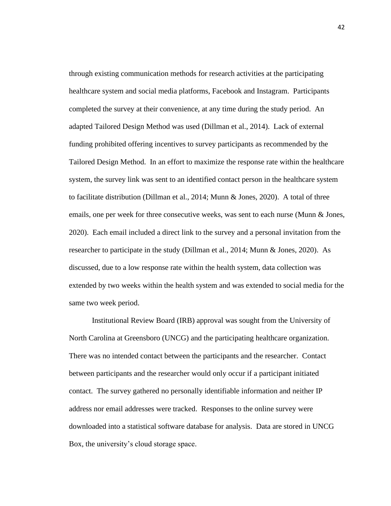through existing communication methods for research activities at the participating healthcare system and social media platforms, Facebook and Instagram. Participants completed the survey at their convenience, at any time during the study period. An adapted Tailored Design Method was used (Dillman et al., 2014). Lack of external funding prohibited offering incentives to survey participants as recommended by the Tailored Design Method. In an effort to maximize the response rate within the healthcare system, the survey link was sent to an identified contact person in the healthcare system to facilitate distribution (Dillman et al., 2014; Munn & Jones, 2020). A total of three emails, one per week for three consecutive weeks, was sent to each nurse (Munn & Jones, 2020). Each email included a direct link to the survey and a personal invitation from the researcher to participate in the study (Dillman et al., 2014; Munn & Jones, 2020). As discussed, due to a low response rate within the health system, data collection was extended by two weeks within the health system and was extended to social media for the same two week period.

Institutional Review Board (IRB) approval was sought from the University of North Carolina at Greensboro (UNCG) and the participating healthcare organization. There was no intended contact between the participants and the researcher. Contact between participants and the researcher would only occur if a participant initiated contact. The survey gathered no personally identifiable information and neither IP address nor email addresses were tracked. Responses to the online survey were downloaded into a statistical software database for analysis. Data are stored in UNCG Box, the university's cloud storage space.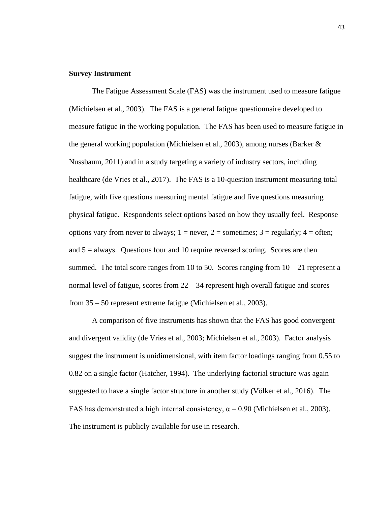## **Survey Instrument**

The Fatigue Assessment Scale (FAS) was the instrument used to measure fatigue (Michielsen et al., 2003). The FAS is a general fatigue questionnaire developed to measure fatigue in the working population. The FAS has been used to measure fatigue in the general working population (Michielsen et al., 2003), among nurses (Barker & Nussbaum, 2011) and in a study targeting a variety of industry sectors, including healthcare (de Vries et al., 2017). The FAS is a 10-question instrument measuring total fatigue, with five questions measuring mental fatigue and five questions measuring physical fatigue. Respondents select options based on how they usually feel. Response options vary from never to always;  $1 =$  never,  $2 =$  sometimes;  $3 =$  regularly;  $4 =$  often; and 5 = always. Questions four and 10 require reversed scoring. Scores are then summed. The total score ranges from 10 to 50. Scores ranging from  $10 - 21$  represent a normal level of fatigue, scores from  $22 - 34$  represent high overall fatigue and scores from 35 – 50 represent extreme fatigue (Michielsen et al., 2003).

A comparison of five instruments has shown that the FAS has good convergent and divergent validity (de Vries et al., 2003; Michielsen et al., 2003). Factor analysis suggest the instrument is unidimensional, with item factor loadings ranging from 0.55 to 0.82 on a single factor (Hatcher, 1994). The underlying factorial structure was again suggested to have a single factor structure in another study (Völker et al., 2016). The FAS has demonstrated a high internal consistency,  $\alpha = 0.90$  (Michielsen et al., 2003). The instrument is publicly available for use in research.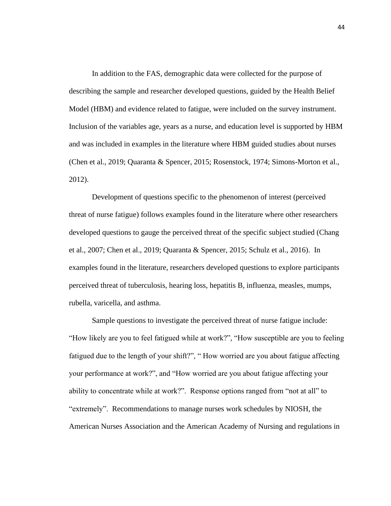In addition to the FAS, demographic data were collected for the purpose of describing the sample and researcher developed questions, guided by the Health Belief Model (HBM) and evidence related to fatigue, were included on the survey instrument. Inclusion of the variables age, years as a nurse, and education level is supported by HBM and was included in examples in the literature where HBM guided studies about nurses (Chen et al., 2019; Quaranta & Spencer, 2015; Rosenstock, 1974; Simons-Morton et al., 2012).

Development of questions specific to the phenomenon of interest (perceived threat of nurse fatigue) follows examples found in the literature where other researchers developed questions to gauge the perceived threat of the specific subject studied (Chang et al., 2007; Chen et al., 2019; Quaranta & Spencer, 2015; Schulz et al., 2016). In examples found in the literature, researchers developed questions to explore participants perceived threat of tuberculosis, hearing loss, hepatitis B, influenza, measles, mumps, rubella, varicella, and asthma.

Sample questions to investigate the perceived threat of nurse fatigue include: "How likely are you to feel fatigued while at work?", "How susceptible are you to feeling fatigued due to the length of your shift?", " How worried are you about fatigue affecting your performance at work?", and "How worried are you about fatigue affecting your ability to concentrate while at work?". Response options ranged from "not at all" to "extremely". Recommendations to manage nurses work schedules by NIOSH, the American Nurses Association and the American Academy of Nursing and regulations in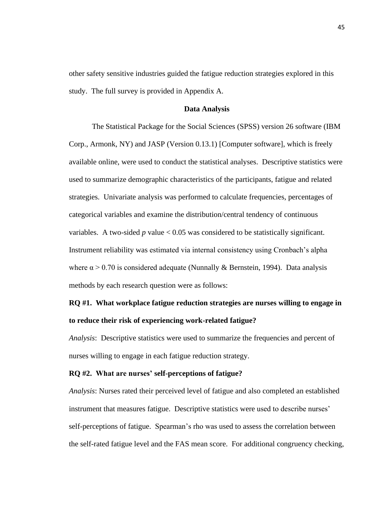other safety sensitive industries guided the fatigue reduction strategies explored in this study. The full survey is provided in Appendix A.

## **Data Analysis**

The Statistical Package for the Social Sciences (SPSS) version 26 software (IBM Corp., Armonk, NY) and JASP (Version 0.13.1) [Computer software], which is freely available online, were used to conduct the statistical analyses. Descriptive statistics were used to summarize demographic characteristics of the participants, fatigue and related strategies. Univariate analysis was performed to calculate frequencies, percentages of categorical variables and examine the distribution/central tendency of continuous variables. A two-sided  $p$  value  $< 0.05$  was considered to be statistically significant. Instrument reliability was estimated via internal consistency using Cronbach's alpha where  $\alpha > 0.70$  is considered adequate (Nunnally & Bernstein, 1994). Data analysis methods by each research question were as follows:

# **RQ #1. What workplace fatigue reduction strategies are nurses willing to engage in to reduce their risk of experiencing work-related fatigue?**

*Analysis*: Descriptive statistics were used to summarize the frequencies and percent of nurses willing to engage in each fatigue reduction strategy.

### **RQ #2. What are nurses' self-perceptions of fatigue?**

*Analysis*: Nurses rated their perceived level of fatigue and also completed an established instrument that measures fatigue. Descriptive statistics were used to describe nurses' self-perceptions of fatigue. Spearman's rho was used to assess the correlation between the self-rated fatigue level and the FAS mean score. For additional congruency checking,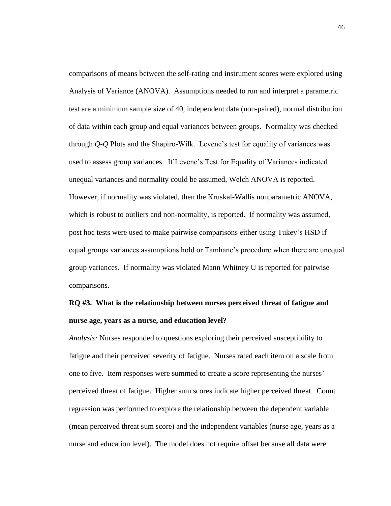comparisons of means between the self-rating and instrument scores were explored using Analysis of Variance (ANOVA). Assumptions needed to run and interpret a parametric test are a minimum sample size of 40, independent data (non-paired), normal distribution of data within each group and equal variances between groups. Normality was checked through *Q-Q* Plots and the Shapiro-Wilk. Levene's test for equality of variances was used to assess group variances. If Levene's Test for Equality of Variances indicated unequal variances and normality could be assumed, Welch ANOVA is reported. However, if normality was violated, then the Kruskal-Wallis nonparametric ANOVA, which is robust to outliers and non-normality, is reported. If normality was assumed, post hoc tests were used to make pairwise comparisons either using Tukey's HSD if equal groups variances assumptions hold or Tamhane's procedure when there are unequal group variances. If normality was violated Mann Whitney U is reported for pairwise comparisons.

# **RQ #3. What is the relationship between nurses perceived threat of fatigue and nurse age, years as a nurse, and education level?**

*Analysis:* Nurses responded to questions exploring their perceived susceptibility to fatigue and their perceived severity of fatigue. Nurses rated each item on a scale from one to five. Item responses were summed to create a score representing the nurses' perceived threat of fatigue. Higher sum scores indicate higher perceived threat. Count regression was performed to explore the relationship between the dependent variable (mean perceived threat sum score) and the independent variables (nurse age, years as a nurse and education level). The model does not require offset because all data were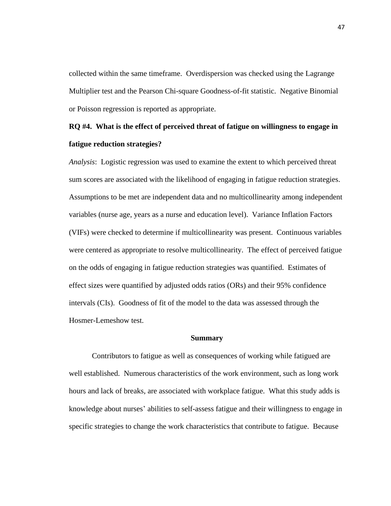collected within the same timeframe. Overdispersion was checked using the Lagrange Multiplier test and the Pearson Chi-square Goodness-of-fit statistic. Negative Binomial or Poisson regression is reported as appropriate.

# **RQ #4. What is the effect of perceived threat of fatigue on willingness to engage in fatigue reduction strategies?**

*Analysis*: Logistic regression was used to examine the extent to which perceived threat sum scores are associated with the likelihood of engaging in fatigue reduction strategies. Assumptions to be met are independent data and no multicollinearity among independent variables (nurse age, years as a nurse and education level). Variance Inflation Factors (VIFs) were checked to determine if multicollinearity was present. Continuous variables were centered as appropriate to resolve multicollinearity. The effect of perceived fatigue on the odds of engaging in fatigue reduction strategies was quantified. Estimates of effect sizes were quantified by adjusted odds ratios (ORs) and their 95% confidence intervals (CIs). Goodness of fit of the model to the data was assessed through the Hosmer-Lemeshow test.

#### **Summary**

Contributors to fatigue as well as consequences of working while fatigued are well established. Numerous characteristics of the work environment, such as long work hours and lack of breaks, are associated with workplace fatigue. What this study adds is knowledge about nurses' abilities to self-assess fatigue and their willingness to engage in specific strategies to change the work characteristics that contribute to fatigue. Because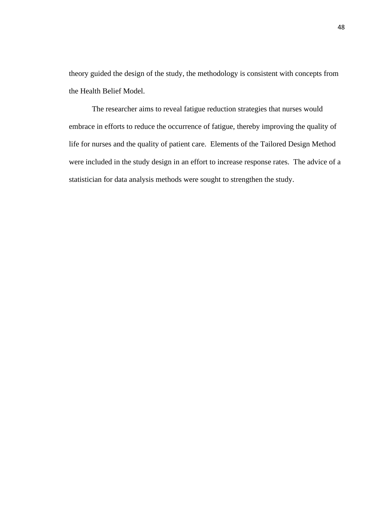theory guided the design of the study, the methodology is consistent with concepts from the Health Belief Model.

The researcher aims to reveal fatigue reduction strategies that nurses would embrace in efforts to reduce the occurrence of fatigue, thereby improving the quality of life for nurses and the quality of patient care. Elements of the Tailored Design Method were included in the study design in an effort to increase response rates. The advice of a statistician for data analysis methods were sought to strengthen the study.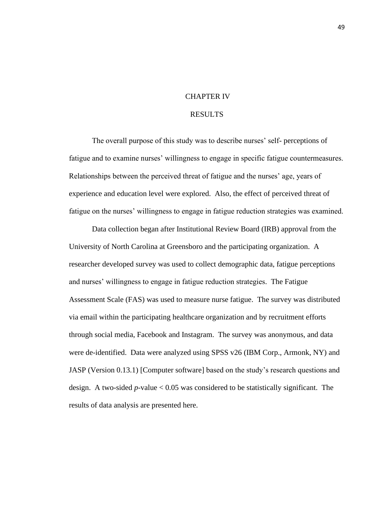### CHAPTER IV

### RESULTS

The overall purpose of this study was to describe nurses' self- perceptions of fatigue and to examine nurses' willingness to engage in specific fatigue countermeasures. Relationships between the perceived threat of fatigue and the nurses' age, years of experience and education level were explored. Also, the effect of perceived threat of fatigue on the nurses' willingness to engage in fatigue reduction strategies was examined.

Data collection began after Institutional Review Board (IRB) approval from the University of North Carolina at Greensboro and the participating organization. A researcher developed survey was used to collect demographic data, fatigue perceptions and nurses' willingness to engage in fatigue reduction strategies. The Fatigue Assessment Scale (FAS) was used to measure nurse fatigue. The survey was distributed via email within the participating healthcare organization and by recruitment efforts through social media, Facebook and Instagram. The survey was anonymous, and data were de-identified. Data were analyzed using SPSS v26 (IBM Corp., Armonk, NY) and JASP (Version 0.13.1) [Computer software] based on the study's research questions and design. A two-sided *p*-value < 0.05 was considered to be statistically significant. The results of data analysis are presented here.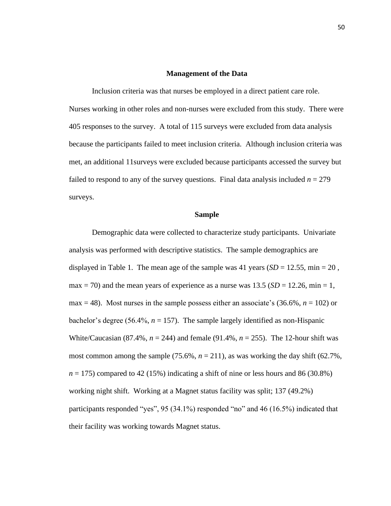#### **Management of the Data**

Inclusion criteria was that nurses be employed in a direct patient care role. Nurses working in other roles and non-nurses were excluded from this study. There were 405 responses to the survey. A total of 115 surveys were excluded from data analysis because the participants failed to meet inclusion criteria. Although inclusion criteria was met, an additional 11surveys were excluded because participants accessed the survey but failed to respond to any of the survey questions. Final data analysis included  $n = 279$ surveys.

#### **Sample**

Demographic data were collected to characterize study participants. Univariate analysis was performed with descriptive statistics. The sample demographics are displayed in Table 1. The mean age of the sample was 41 years  $(SD = 12.55, \text{min} = 20$ , max  $= 70$ ) and the mean years of experience as a nurse was 13.5 (*SD* = 12.26, min = 1, max = 48). Most nurses in the sample possess either an associate's  $(36.6\%, n = 102)$  or bachelor's degree (56.4%, *n* = 157). The sample largely identified as non-Hispanic White/Caucasian (87.4%,  $n = 244$ ) and female (91.4%,  $n = 255$ ). The 12-hour shift was most common among the sample (75.6%,  $n = 211$ ), as was working the day shift (62.7%,  $n = 175$ ) compared to 42 (15%) indicating a shift of nine or less hours and 86 (30.8%) working night shift. Working at a Magnet status facility was split; 137 (49.2%) participants responded "yes", 95 (34.1%) responded "no" and 46 (16.5%) indicated that their facility was working towards Magnet status.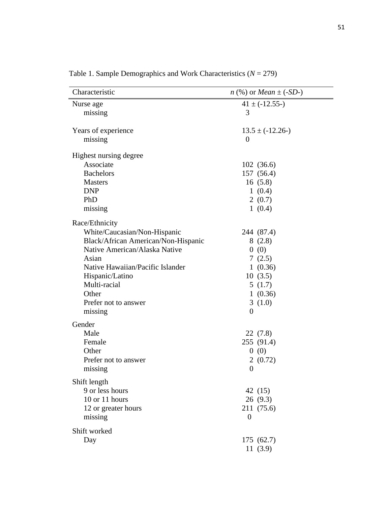| $41 \pm (-12.55)$<br>Nurse age<br>3<br>missing<br>Years of experience<br>$13.5 \pm (-12.26)$<br>missing<br>$\overline{0}$<br>Highest nursing degree<br>Associate<br>102(36.6)<br><b>Bachelors</b><br>157 (56.4)<br><b>Masters</b><br>16(5.8)<br><b>DNP</b><br>1(0.4)<br>PhD<br>2(0.7)<br>1(0.4)<br>missing<br>Race/Ethnicity<br>White/Caucasian/Non-Hispanic<br>244 (87.4)<br>Black/African American/Non-Hispanic<br>8(2.8)<br>Native American/Alaska Native<br>0(0)<br>Asian<br>7(2.5)<br>Native Hawaiian/Pacific Islander<br>1(0.36)<br>Hispanic/Latino<br>10(3.5)<br>Multi-racial<br>5(1.7)<br>Other<br>1(0.36)<br>Prefer not to answer<br>3(1.0)<br>missing<br>$\boldsymbol{0}$<br>Gender<br>Male<br>22 (7.8)<br>255 (91.4)<br>Female<br>Other<br>0(0)<br>Prefer not to answer<br>2(0.72)<br>$\overline{0}$<br>missing<br>Shift length<br>9 or less hours<br>42 (15)<br>10 or 11 hours<br>26(9.3)<br>12 or greater hours<br>211 (75.6)<br>missing<br>$\overline{0}$ | Characteristic | <i>n</i> (%) or <i>Mean</i> $\pm$ (- <i>SD</i> -) |
|-------------------------------------------------------------------------------------------------------------------------------------------------------------------------------------------------------------------------------------------------------------------------------------------------------------------------------------------------------------------------------------------------------------------------------------------------------------------------------------------------------------------------------------------------------------------------------------------------------------------------------------------------------------------------------------------------------------------------------------------------------------------------------------------------------------------------------------------------------------------------------------------------------------------------------------------------------------------------|----------------|---------------------------------------------------|
|                                                                                                                                                                                                                                                                                                                                                                                                                                                                                                                                                                                                                                                                                                                                                                                                                                                                                                                                                                         |                |                                                   |
|                                                                                                                                                                                                                                                                                                                                                                                                                                                                                                                                                                                                                                                                                                                                                                                                                                                                                                                                                                         |                |                                                   |
|                                                                                                                                                                                                                                                                                                                                                                                                                                                                                                                                                                                                                                                                                                                                                                                                                                                                                                                                                                         |                |                                                   |
|                                                                                                                                                                                                                                                                                                                                                                                                                                                                                                                                                                                                                                                                                                                                                                                                                                                                                                                                                                         |                |                                                   |
|                                                                                                                                                                                                                                                                                                                                                                                                                                                                                                                                                                                                                                                                                                                                                                                                                                                                                                                                                                         |                |                                                   |
|                                                                                                                                                                                                                                                                                                                                                                                                                                                                                                                                                                                                                                                                                                                                                                                                                                                                                                                                                                         |                |                                                   |
|                                                                                                                                                                                                                                                                                                                                                                                                                                                                                                                                                                                                                                                                                                                                                                                                                                                                                                                                                                         |                |                                                   |
|                                                                                                                                                                                                                                                                                                                                                                                                                                                                                                                                                                                                                                                                                                                                                                                                                                                                                                                                                                         |                |                                                   |
|                                                                                                                                                                                                                                                                                                                                                                                                                                                                                                                                                                                                                                                                                                                                                                                                                                                                                                                                                                         |                |                                                   |
|                                                                                                                                                                                                                                                                                                                                                                                                                                                                                                                                                                                                                                                                                                                                                                                                                                                                                                                                                                         |                |                                                   |
|                                                                                                                                                                                                                                                                                                                                                                                                                                                                                                                                                                                                                                                                                                                                                                                                                                                                                                                                                                         |                |                                                   |
|                                                                                                                                                                                                                                                                                                                                                                                                                                                                                                                                                                                                                                                                                                                                                                                                                                                                                                                                                                         |                |                                                   |
|                                                                                                                                                                                                                                                                                                                                                                                                                                                                                                                                                                                                                                                                                                                                                                                                                                                                                                                                                                         |                |                                                   |
|                                                                                                                                                                                                                                                                                                                                                                                                                                                                                                                                                                                                                                                                                                                                                                                                                                                                                                                                                                         |                |                                                   |
|                                                                                                                                                                                                                                                                                                                                                                                                                                                                                                                                                                                                                                                                                                                                                                                                                                                                                                                                                                         |                |                                                   |
|                                                                                                                                                                                                                                                                                                                                                                                                                                                                                                                                                                                                                                                                                                                                                                                                                                                                                                                                                                         |                |                                                   |
|                                                                                                                                                                                                                                                                                                                                                                                                                                                                                                                                                                                                                                                                                                                                                                                                                                                                                                                                                                         |                |                                                   |
|                                                                                                                                                                                                                                                                                                                                                                                                                                                                                                                                                                                                                                                                                                                                                                                                                                                                                                                                                                         |                |                                                   |
|                                                                                                                                                                                                                                                                                                                                                                                                                                                                                                                                                                                                                                                                                                                                                                                                                                                                                                                                                                         |                |                                                   |
|                                                                                                                                                                                                                                                                                                                                                                                                                                                                                                                                                                                                                                                                                                                                                                                                                                                                                                                                                                         |                |                                                   |
|                                                                                                                                                                                                                                                                                                                                                                                                                                                                                                                                                                                                                                                                                                                                                                                                                                                                                                                                                                         |                |                                                   |
|                                                                                                                                                                                                                                                                                                                                                                                                                                                                                                                                                                                                                                                                                                                                                                                                                                                                                                                                                                         |                |                                                   |
|                                                                                                                                                                                                                                                                                                                                                                                                                                                                                                                                                                                                                                                                                                                                                                                                                                                                                                                                                                         |                |                                                   |
|                                                                                                                                                                                                                                                                                                                                                                                                                                                                                                                                                                                                                                                                                                                                                                                                                                                                                                                                                                         |                |                                                   |
|                                                                                                                                                                                                                                                                                                                                                                                                                                                                                                                                                                                                                                                                                                                                                                                                                                                                                                                                                                         |                |                                                   |
|                                                                                                                                                                                                                                                                                                                                                                                                                                                                                                                                                                                                                                                                                                                                                                                                                                                                                                                                                                         |                |                                                   |
|                                                                                                                                                                                                                                                                                                                                                                                                                                                                                                                                                                                                                                                                                                                                                                                                                                                                                                                                                                         |                |                                                   |
|                                                                                                                                                                                                                                                                                                                                                                                                                                                                                                                                                                                                                                                                                                                                                                                                                                                                                                                                                                         |                |                                                   |
|                                                                                                                                                                                                                                                                                                                                                                                                                                                                                                                                                                                                                                                                                                                                                                                                                                                                                                                                                                         |                |                                                   |
|                                                                                                                                                                                                                                                                                                                                                                                                                                                                                                                                                                                                                                                                                                                                                                                                                                                                                                                                                                         |                |                                                   |
|                                                                                                                                                                                                                                                                                                                                                                                                                                                                                                                                                                                                                                                                                                                                                                                                                                                                                                                                                                         |                |                                                   |
|                                                                                                                                                                                                                                                                                                                                                                                                                                                                                                                                                                                                                                                                                                                                                                                                                                                                                                                                                                         |                |                                                   |
|                                                                                                                                                                                                                                                                                                                                                                                                                                                                                                                                                                                                                                                                                                                                                                                                                                                                                                                                                                         |                |                                                   |
|                                                                                                                                                                                                                                                                                                                                                                                                                                                                                                                                                                                                                                                                                                                                                                                                                                                                                                                                                                         |                |                                                   |
|                                                                                                                                                                                                                                                                                                                                                                                                                                                                                                                                                                                                                                                                                                                                                                                                                                                                                                                                                                         |                |                                                   |
| Shift worked                                                                                                                                                                                                                                                                                                                                                                                                                                                                                                                                                                                                                                                                                                                                                                                                                                                                                                                                                            |                |                                                   |
| 175 (62.7)<br>Day                                                                                                                                                                                                                                                                                                                                                                                                                                                                                                                                                                                                                                                                                                                                                                                                                                                                                                                                                       |                |                                                   |
| 11(3.9)                                                                                                                                                                                                                                                                                                                                                                                                                                                                                                                                                                                                                                                                                                                                                                                                                                                                                                                                                                 |                |                                                   |

Table 1. Sample Demographics and Work Characteristics (*N* = 279)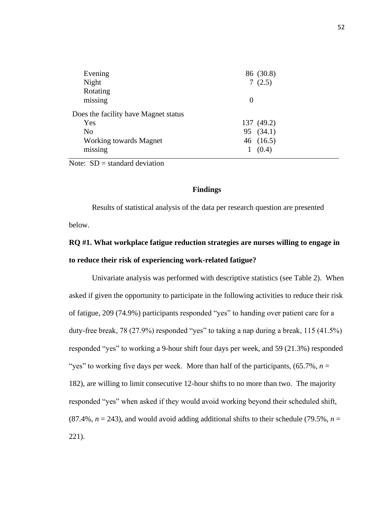| Evening                              | 86 (30.8)  |
|--------------------------------------|------------|
| Night                                | 7(2.5)     |
| Rotating                             |            |
| missing                              | 0          |
| Does the facility have Magnet status |            |
| Yes                                  | 137 (49.2) |
| N <sub>o</sub>                       | 95 (34.1)  |
| Working towards Magnet               | 46 (16.5)  |
| missing                              | (0.4)      |
|                                      |            |

Note:  $SD = standard deviation$ 

# **Findings**

Results of statistical analysis of the data per research question are presented below.

# **RQ #1. What workplace fatigue reduction strategies are nurses willing to engage in to reduce their risk of experiencing work-related fatigue?**

Univariate analysis was performed with descriptive statistics (see Table 2). When asked if given the opportunity to participate in the following activities to reduce their risk of fatigue, 209 (74.9%) participants responded "yes" to handing over patient care for a duty-free break, 78 (27.9%) responded "yes" to taking a nap during a break, 115 (41.5%) responded "yes" to working a 9-hour shift four days per week, and 59 (21.3%) responded "yes" to working five days per week. More than half of the participants,  $(65.7\%, n=$ 182), are willing to limit consecutive 12-hour shifts to no more than two. The majority responded "yes" when asked if they would avoid working beyond their scheduled shift, (87.4%,  $n = 243$ ), and would avoid adding additional shifts to their schedule (79.5%,  $n =$ 221).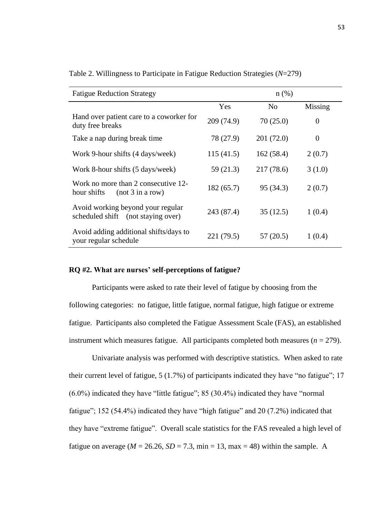| <b>Fatigue Reduction Strategy</b>                                       |            | $n$ (%)        |                |
|-------------------------------------------------------------------------|------------|----------------|----------------|
|                                                                         | Yes        | N <sub>0</sub> | Missing        |
| Hand over patient care to a coworker for<br>duty free breaks            | 209 (74.9) | 70(25.0)       | $\theta$       |
| Take a nap during break time                                            | 78 (27.9)  | 201(72.0)      | $\overline{0}$ |
| Work 9-hour shifts (4 days/week)                                        | 115(41.5)  | 162(58.4)      | 2(0.7)         |
| Work 8-hour shifts (5 days/week)                                        | 59 (21.3)  | 217(78.6)      | 3(1.0)         |
| Work no more than 2 consecutive 12-<br>hour shifts<br>(not 3 in a row)  | 182(65.7)  | 95 (34.3)      | 2(0.7)         |
| Avoid working beyond your regular<br>scheduled shift (not staying over) | 243 (87.4) | 35(12.5)       | 1(0.4)         |
| Avoid adding additional shifts/days to<br>your regular schedule         | 221 (79.5) | 57(20.5)       | 1(0.4)         |

Table 2. Willingness to Participate in Fatigue Reduction Strategies (*N*=279)

#### **RQ #2. What are nurses' self-perceptions of fatigue?**

Participants were asked to rate their level of fatigue by choosing from the following categories: no fatigue, little fatigue, normal fatigue, high fatigue or extreme fatigue. Participants also completed the Fatigue Assessment Scale (FAS), an established instrument which measures fatigue. All participants completed both measures  $(n = 279)$ .

Univariate analysis was performed with descriptive statistics. When asked to rate their current level of fatigue, 5 (1.7%) of participants indicated they have "no fatigue"; 17 (6.0%) indicated they have "little fatigue"; 85 (30.4%) indicated they have "normal fatigue"; 152 (54.4%) indicated they have "high fatigue" and 20 (7.2%) indicated that they have "extreme fatigue". Overall scale statistics for the FAS revealed a high level of fatigue on average ( $M = 26.26$ ,  $SD = 7.3$ , min = 13, max = 48) within the sample. A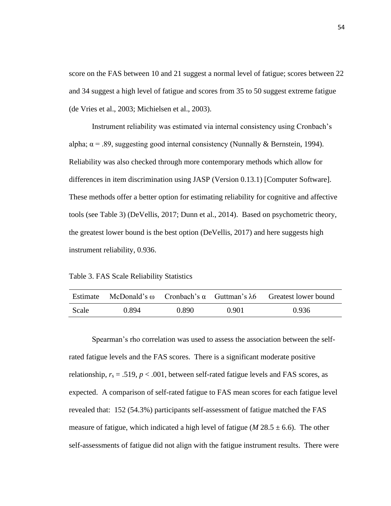score on the FAS between 10 and 21 suggest a normal level of fatigue; scores between 22 and 34 suggest a high level of fatigue and scores from 35 to 50 suggest extreme fatigue (de Vries et al., 2003; Michielsen et al., 2003).

Instrument reliability was estimated via internal consistency using Cronbach's alpha;  $\alpha$  = .89, suggesting good internal consistency (Nunnally & Bernstein, 1994). Reliability was also checked through more contemporary methods which allow for differences in item discrimination using JASP (Version 0.13.1) [Computer Software]. These methods offer a better option for estimating reliability for cognitive and affective tools (see Table 3) (DeVellis, 2017; Dunn et al., 2014). Based on psychometric theory, the greatest lower bound is the best option (DeVellis, 2017) and here suggests high instrument reliability, 0.936.

Table 3. FAS Scale Reliability Statistics

| Estimate | McDonald's $\omega$ Cronbach's $\alpha$ Guttman's $\lambda$ 6 |       |       | Greatest lower bound |
|----------|---------------------------------------------------------------|-------|-------|----------------------|
| Scale    | 0.894                                                         | 0.890 | 0.901 | 0.936                |

Spearman's rho correlation was used to assess the association between the selfrated fatigue levels and the FAS scores. There is a significant moderate positive relationship,  $r_s = .519$ ,  $p < .001$ , between self-rated fatigue levels and FAS scores, as expected. A comparison of self-rated fatigue to FAS mean scores for each fatigue level revealed that: 152 (54.3%) participants self-assessment of fatigue matched the FAS measure of fatigue, which indicated a high level of fatigue ( $M$  28.5  $\pm$  6.6). The other self-assessments of fatigue did not align with the fatigue instrument results. There were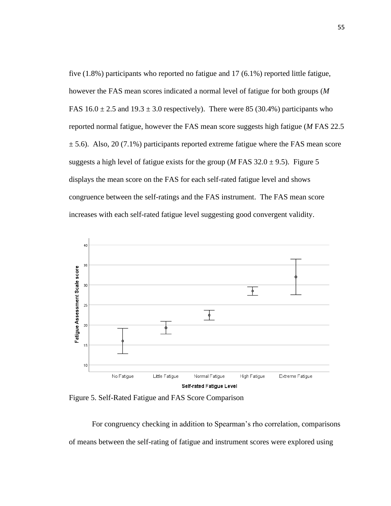five (1.8%) participants who reported no fatigue and 17 (6.1%) reported little fatigue, however the FAS mean scores indicated a normal level of fatigue for both groups (*M* FAS  $16.0 \pm 2.5$  and  $19.3 \pm 3.0$  respectively). There were 85 (30.4%) participants who reported normal fatigue, however the FAS mean score suggests high fatigue (*M* FAS 22.5  $\pm$  5.6). Also, 20 (7.1%) participants reported extreme fatigue where the FAS mean score suggests a high level of fatigue exists for the group (*M* FAS  $32.0 \pm 9.5$ ). Figure 5 displays the mean score on the FAS for each self-rated fatigue level and shows congruence between the self-ratings and the FAS instrument. The FAS mean score increases with each self-rated fatigue level suggesting good convergent validity.



Figure 5. Self-Rated Fatigue and FAS Score Comparison

For congruency checking in addition to Spearman's rho correlation, comparisons of means between the self-rating of fatigue and instrument scores were explored using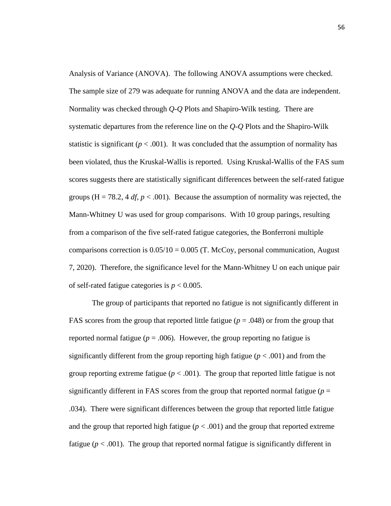Analysis of Variance (ANOVA). The following ANOVA assumptions were checked. The sample size of 279 was adequate for running ANOVA and the data are independent. Normality was checked through *Q-Q* Plots and Shapiro-Wilk testing. There are systematic departures from the reference line on the *Q-Q* Plots and the Shapiro-Wilk statistic is significant ( $p < .001$ ). It was concluded that the assumption of normality has been violated, thus the Kruskal-Wallis is reported. Using Kruskal-Wallis of the FAS sum scores suggests there are statistically significant differences between the self-rated fatigue groups (H = 78.2, 4  $df$ ,  $p < .001$ ). Because the assumption of normality was rejected, the Mann-Whitney U was used for group comparisons. With 10 group parings, resulting from a comparison of the five self-rated fatigue categories, the Bonferroni multiple comparisons correction is  $0.05/10 = 0.005$  (T. McCoy, personal communication, August 7, 2020). Therefore, the significance level for the Mann-Whitney U on each unique pair of self-rated fatigue categories is *p* < 0.005.

The group of participants that reported no fatigue is not significantly different in FAS scores from the group that reported little fatigue ( $p = .048$ ) or from the group that reported normal fatigue ( $p = .006$ ). However, the group reporting no fatigue is significantly different from the group reporting high fatigue  $(p < .001)$  and from the group reporting extreme fatigue ( $p < .001$ ). The group that reported little fatigue is not significantly different in FAS scores from the group that reported normal fatigue  $(p =$ .034). There were significant differences between the group that reported little fatigue and the group that reported high fatigue  $(p < .001)$  and the group that reported extreme fatigue ( $p < .001$ ). The group that reported normal fatigue is significantly different in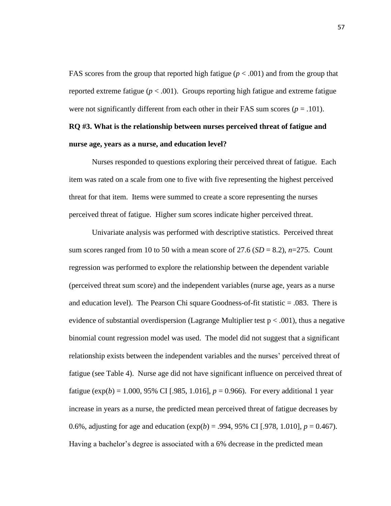FAS scores from the group that reported high fatigue ( $p < .001$ ) and from the group that reported extreme fatigue ( $p < .001$ ). Groups reporting high fatigue and extreme fatigue were not significantly different from each other in their FAS sum scores  $(p = .101)$ .

# **RQ #3. What is the relationship between nurses perceived threat of fatigue and nurse age, years as a nurse, and education level?**

Nurses responded to questions exploring their perceived threat of fatigue. Each item was rated on a scale from one to five with five representing the highest perceived threat for that item. Items were summed to create a score representing the nurses perceived threat of fatigue. Higher sum scores indicate higher perceived threat.

Univariate analysis was performed with descriptive statistics. Perceived threat sum scores ranged from 10 to 50 with a mean score of 27.6 ( $SD = 8.2$ ),  $n=275$ . Count regression was performed to explore the relationship between the dependent variable (perceived threat sum score) and the independent variables (nurse age, years as a nurse and education level).The Pearson Chi square Goodness-of-fit statistic = .083. There is evidence of substantial overdispersion (Lagrange Multiplier test  $p < .001$ ), thus a negative binomial count regression model was used. The model did not suggest that a significant relationship exists between the independent variables and the nurses' perceived threat of fatigue (see Table 4). Nurse age did not have significant influence on perceived threat of fatigue ( $exp(b) = 1.000, 95\%$  CI [.985, 1.016],  $p = 0.966$ ). For every additional 1 year increase in years as a nurse, the predicted mean perceived threat of fatigue decreases by 0.6%, adjusting for age and education (exp(*b*) = .994, 95% CI [.978, 1.010], *p* = 0.467). Having a bachelor's degree is associated with a 6% decrease in the predicted mean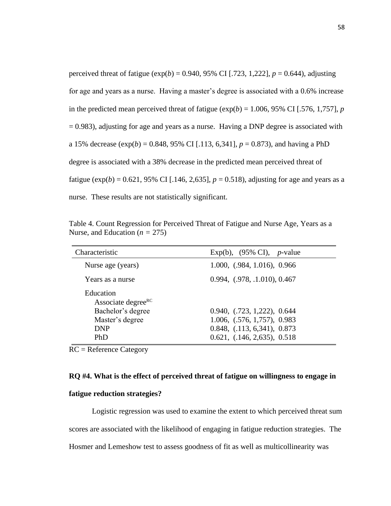perceived threat of fatigue  $(\exp(b) = 0.940, 95\% \text{ CI}$  [.723, 1,222],  $p = 0.644$ ), adjusting for age and years as a nurse. Having a master's degree is associated with a 0.6% increase in the predicted mean perceived threat of fatigue  $(\exp(b) = 1.006, 95\% \text{ CI}$  [.576, 1,757], *p*  $= 0.983$ ), adjusting for age and years as a nurse. Having a DNP degree is associated with a 15% decrease  $(\exp(b) = 0.848, 95\% \text{ CI}$  [.113, 6,341],  $p = 0.873$ ), and having a PhD degree is associated with a 38% decrease in the predicted mean perceived threat of fatigue ( $exp(b) = 0.621$ , 95% CI [.146, 2,635],  $p = 0.518$ ), adjusting for age and years as a nurse. These results are not statistically significant.

Table 4. Count Regression for Perceived Threat of Fatigue and Nurse Age, Years as a Nurse, and Education  $(n = 275)$ 

| Characteristic                                                                                                  | Exp(b), $(95\% \text{ CI})$ , <i>p</i> -value                                                                              |
|-----------------------------------------------------------------------------------------------------------------|----------------------------------------------------------------------------------------------------------------------------|
| Nurse age (years)                                                                                               | 1.000, (.984, 1.016), 0.966                                                                                                |
| Years as a nurse                                                                                                | 0.994, (0.978, 0.1010), 0.467                                                                                              |
| Education<br>Associate degree <sup>RC</sup><br>Bachelor's degree<br>Master's degree<br><b>DNP</b><br><b>PhD</b> | 0.940, (0.723, 1.222), 0.644<br>1.006, (.576, 1,757), 0.983<br>0.848, (0.113, 6.341), 0.873<br>0.621, (.146, 2,635), 0.518 |

RC = Reference Category

# **RQ #4. What is the effect of perceived threat of fatigue on willingness to engage in**

#### **fatigue reduction strategies?**

Logistic regression was used to examine the extent to which perceived threat sum scores are associated with the likelihood of engaging in fatigue reduction strategies. The Hosmer and Lemeshow test to assess goodness of fit as well as multicollinearity was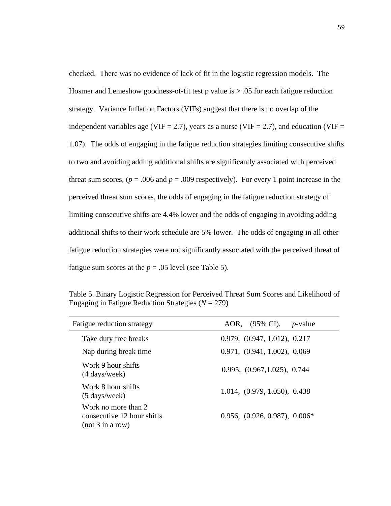checked. There was no evidence of lack of fit in the logistic regression models. The Hosmer and Lemeshow goodness-of-fit test p value is  $> .05$  for each fatigue reduction strategy. Variance Inflation Factors (VIFs) suggest that there is no overlap of the independent variables age (VIF = 2.7), years as a nurse (VIF = 2.7), and education (VIF = 1.07). The odds of engaging in the fatigue reduction strategies limiting consecutive shifts to two and avoiding adding additional shifts are significantly associated with perceived threat sum scores,  $(p = .006$  and  $p = .009$  respectively). For every 1 point increase in the perceived threat sum scores, the odds of engaging in the fatigue reduction strategy of limiting consecutive shifts are 4.4% lower and the odds of engaging in avoiding adding additional shifts to their work schedule are 5% lower. The odds of engaging in all other fatigue reduction strategies were not significantly associated with the perceived threat of fatigue sum scores at the  $p = .05$  level (see Table 5).

Table 5. Binary Logistic Regression for Perceived Threat Sum Scores and Likelihood of Engaging in Fatigue Reduction Strategies (*N* = 279)

| Fatigue reduction strategy                                            | AOR, (95% CI),<br>$p$ -value    |
|-----------------------------------------------------------------------|---------------------------------|
| Take duty free breaks                                                 | 0.979, (0.947, 1.012), 0.217    |
| Nap during break time                                                 | 0.971, (0.941, 1.002), 0.069    |
| Work 9 hour shifts<br>(4 days/week)                                   | 0.995, (0.967, 1.025), 0.744    |
| Work 8 hour shifts<br>$(5 \text{ days}/\text{week})$                  | 1.014, (0.979, 1.050), 0.438    |
| Work no more than 2<br>consecutive 12 hour shifts<br>(not 3 in a row) | $0.956, (0.926, 0.987), 0.006*$ |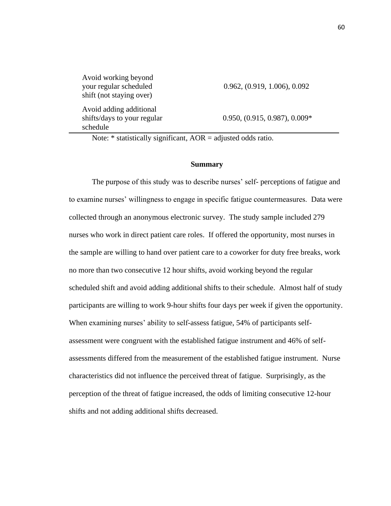Avoid working beyond your regular scheduled shift (not staying over)

 Avoid adding additional shifts/days to your regular schedule

0.962, (0.919, 1.006), 0.092

0.950, (0.915, 0.987), 0.009\*

Note:  $*$  statistically significant,  $AOR =$  adjusted odds ratio.

#### **Summary**

The purpose of this study was to describe nurses' self- perceptions of fatigue and to examine nurses' willingness to engage in specific fatigue countermeasures. Data were collected through an anonymous electronic survey. The study sample included 279 nurses who work in direct patient care roles. If offered the opportunity, most nurses in the sample are willing to hand over patient care to a coworker for duty free breaks, work no more than two consecutive 12 hour shifts, avoid working beyond the regular scheduled shift and avoid adding additional shifts to their schedule. Almost half of study participants are willing to work 9-hour shifts four days per week if given the opportunity. When examining nurses' ability to self-assess fatigue, 54% of participants selfassessment were congruent with the established fatigue instrument and 46% of selfassessments differed from the measurement of the established fatigue instrument. Nurse characteristics did not influence the perceived threat of fatigue. Surprisingly, as the perception of the threat of fatigue increased, the odds of limiting consecutive 12-hour shifts and not adding additional shifts decreased.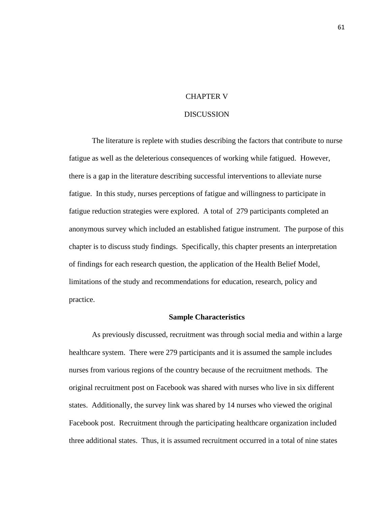# CHAPTER V

## **DISCUSSION**

The literature is replete with studies describing the factors that contribute to nurse fatigue as well as the deleterious consequences of working while fatigued. However, there is a gap in the literature describing successful interventions to alleviate nurse fatigue. In this study, nurses perceptions of fatigue and willingness to participate in fatigue reduction strategies were explored. A total of 279 participants completed an anonymous survey which included an established fatigue instrument. The purpose of this chapter is to discuss study findings. Specifically, this chapter presents an interpretation of findings for each research question, the application of the Health Belief Model, limitations of the study and recommendations for education, research, policy and practice.

#### **Sample Characteristics**

As previously discussed, recruitment was through social media and within a large healthcare system. There were 279 participants and it is assumed the sample includes nurses from various regions of the country because of the recruitment methods. The original recruitment post on Facebook was shared with nurses who live in six different states. Additionally, the survey link was shared by 14 nurses who viewed the original Facebook post. Recruitment through the participating healthcare organization included three additional states. Thus, it is assumed recruitment occurred in a total of nine states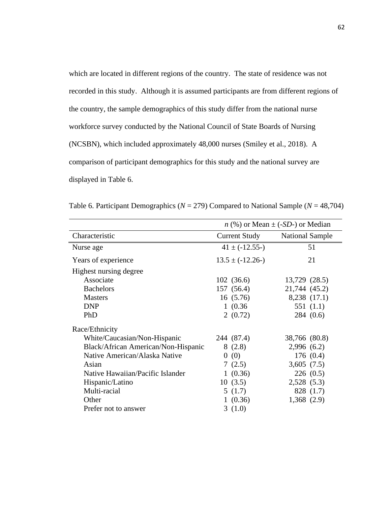which are located in different regions of the country. The state of residence was not recorded in this study. Although it is assumed participants are from different regions of the country, the sample demographics of this study differ from the national nurse workforce survey conducted by the National Council of State Boards of Nursing (NCSBN), which included approximately 48,000 nurses (Smiley et al., 2018). A comparison of participant demographics for this study and the national survey are displayed in Table 6.

|                                     | $n$ (%) or Mean $\pm$ (-SD-) or Median |                        |  |
|-------------------------------------|----------------------------------------|------------------------|--|
| Characteristic                      | Current Study                          | <b>National Sample</b> |  |
| Nurse age                           | $41 \pm (-12.55)$                      | 51                     |  |
| Years of experience                 | $13.5 \pm (-12.26)$                    | 21                     |  |
| Highest nursing degree              |                                        |                        |  |
| Associate                           | 102(36.6)                              | 13,729 (28.5)          |  |
| <b>Bachelors</b>                    | 157(56.4)                              | 21,744 (45.2)          |  |
| <b>Masters</b>                      | 16(5.76)                               | 8,238 (17.1)           |  |
| <b>DNP</b>                          | 1(0.36)                                | 551 $(1.1)$            |  |
| PhD                                 | 2(0.72)                                | 284(0.6)               |  |
| Race/Ethnicity                      |                                        |                        |  |
| White/Caucasian/Non-Hispanic        | 244 (87.4)                             | 38,766 (80.8)          |  |
| Black/African American/Non-Hispanic | 8(2.8)                                 | 2,996(6.2)             |  |
| Native American/Alaska Native       | (0)<br>$\theta$                        | 176(0.4)               |  |
| Asian                               | 7(2.5)                                 | 3,605(7.5)             |  |
| Native Hawaiian/Pacific Islander    | 1(0.36)                                | 226(0.5)               |  |
| Hispanic/Latino                     | 10(3.5)                                | 2,528(5.3)             |  |
| Multi-racial                        | 5(1.7)                                 | 828 (1.7)              |  |
| Other                               | 1(0.36)                                | 1,368(2.9)             |  |
| Prefer not to answer                | 3(1.0)                                 |                        |  |

Table 6. Participant Demographics ( $N = 279$ ) Compared to National Sample ( $N = 48,704$ )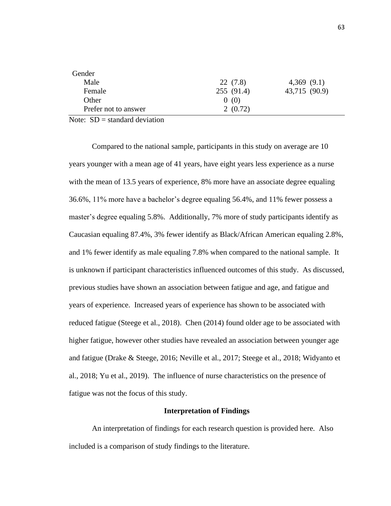| Gender               |            |               |
|----------------------|------------|---------------|
| Male                 | 22(7.8)    | 4,369(9.1)    |
| Female               | 255 (91.4) | 43,715 (90.9) |
| Other                | 0(0)       |               |
| Prefer not to answer | 2(0.72)    |               |

Note:  $SD = standard deviation$ 

Compared to the national sample, participants in this study on average are 10 years younger with a mean age of 41 years, have eight years less experience as a nurse with the mean of 13.5 years of experience, 8% more have an associate degree equaling 36.6%, 11% more have a bachelor's degree equaling 56.4%, and 11% fewer possess a master's degree equaling 5.8%. Additionally, 7% more of study participants identify as Caucasian equaling 87.4%, 3% fewer identify as Black/African American equaling 2.8%, and 1% fewer identify as male equaling 7.8% when compared to the national sample. It is unknown if participant characteristics influenced outcomes of this study. As discussed, previous studies have shown an association between fatigue and age, and fatigue and years of experience. Increased years of experience has shown to be associated with reduced fatigue (Steege et al., 2018). Chen (2014) found older age to be associated with higher fatigue, however other studies have revealed an association between younger age and fatigue (Drake & Steege, 2016; Neville et al., 2017; Steege et al., 2018; Widyanto et al., 2018; Yu et al., 2019). The influence of nurse characteristics on the presence of fatigue was not the focus of this study.

## **Interpretation of Findings**

An interpretation of findings for each research question is provided here. Also included is a comparison of study findings to the literature.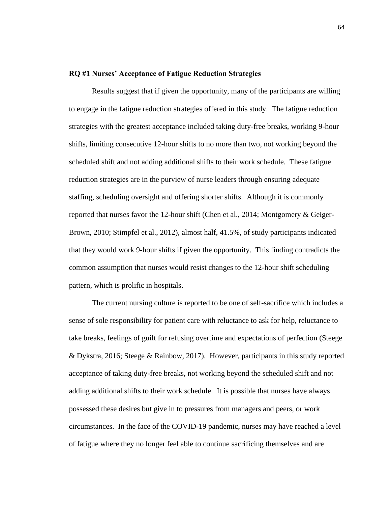### **RQ #1 Nurses' Acceptance of Fatigue Reduction Strategies**

Results suggest that if given the opportunity, many of the participants are willing to engage in the fatigue reduction strategies offered in this study. The fatigue reduction strategies with the greatest acceptance included taking duty-free breaks, working 9-hour shifts, limiting consecutive 12-hour shifts to no more than two, not working beyond the scheduled shift and not adding additional shifts to their work schedule. These fatigue reduction strategies are in the purview of nurse leaders through ensuring adequate staffing, scheduling oversight and offering shorter shifts. Although it is commonly reported that nurses favor the 12-hour shift (Chen et al., 2014; Montgomery & Geiger-Brown, 2010; Stimpfel et al., 2012), almost half, 41.5%, of study participants indicated that they would work 9-hour shifts if given the opportunity. This finding contradicts the common assumption that nurses would resist changes to the 12-hour shift scheduling pattern, which is prolific in hospitals.

The current nursing culture is reported to be one of self-sacrifice which includes a sense of sole responsibility for patient care with reluctance to ask for help, reluctance to take breaks, feelings of guilt for refusing overtime and expectations of perfection (Steege & Dykstra, 2016; Steege & Rainbow, 2017). However, participants in this study reported acceptance of taking duty-free breaks, not working beyond the scheduled shift and not adding additional shifts to their work schedule. It is possible that nurses have always possessed these desires but give in to pressures from managers and peers, or work circumstances. In the face of the COVID-19 pandemic, nurses may have reached a level of fatigue where they no longer feel able to continue sacrificing themselves and are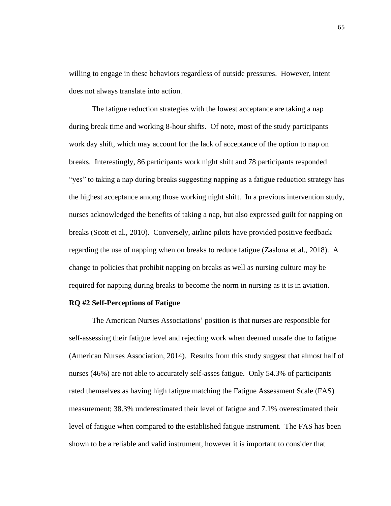willing to engage in these behaviors regardless of outside pressures. However, intent does not always translate into action.

The fatigue reduction strategies with the lowest acceptance are taking a nap during break time and working 8-hour shifts. Of note, most of the study participants work day shift, which may account for the lack of acceptance of the option to nap on breaks. Interestingly, 86 participants work night shift and 78 participants responded "yes" to taking a nap during breaks suggesting napping as a fatigue reduction strategy has the highest acceptance among those working night shift. In a previous intervention study, nurses acknowledged the benefits of taking a nap, but also expressed guilt for napping on breaks (Scott et al., 2010). Conversely, airline pilots have provided positive feedback regarding the use of napping when on breaks to reduce fatigue (Zaslona et al., 2018). A change to policies that prohibit napping on breaks as well as nursing culture may be required for napping during breaks to become the norm in nursing as it is in aviation.

### **RQ #2 Self-Perceptions of Fatigue**

The American Nurses Associations' position is that nurses are responsible for self-assessing their fatigue level and rejecting work when deemed unsafe due to fatigue (American Nurses Association, 2014). Results from this study suggest that almost half of nurses (46%) are not able to accurately self-asses fatigue. Only 54.3% of participants rated themselves as having high fatigue matching the Fatigue Assessment Scale (FAS) measurement; 38.3% underestimated their level of fatigue and 7.1% overestimated their level of fatigue when compared to the established fatigue instrument. The FAS has been shown to be a reliable and valid instrument, however it is important to consider that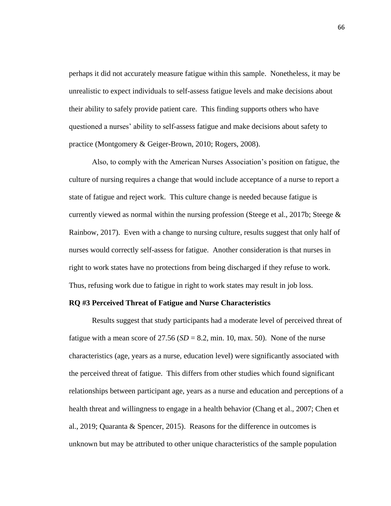perhaps it did not accurately measure fatigue within this sample. Nonetheless, it may be unrealistic to expect individuals to self-assess fatigue levels and make decisions about their ability to safely provide patient care. This finding supports others who have questioned a nurses' ability to self-assess fatigue and make decisions about safety to practice (Montgomery & Geiger-Brown, 2010; Rogers, 2008).

Also, to comply with the American Nurses Association's position on fatigue, the culture of nursing requires a change that would include acceptance of a nurse to report a state of fatigue and reject work. This culture change is needed because fatigue is currently viewed as normal within the nursing profession (Steege et al., 2017b; Steege & Rainbow, 2017). Even with a change to nursing culture, results suggest that only half of nurses would correctly self-assess for fatigue. Another consideration is that nurses in right to work states have no protections from being discharged if they refuse to work. Thus, refusing work due to fatigue in right to work states may result in job loss.

### **RQ #3 Perceived Threat of Fatigue and Nurse Characteristics**

Results suggest that study participants had a moderate level of perceived threat of fatigue with a mean score of  $27.56$  ( $SD = 8.2$ , min. 10, max. 50). None of the nurse characteristics (age, years as a nurse, education level) were significantly associated with the perceived threat of fatigue. This differs from other studies which found significant relationships between participant age, years as a nurse and education and perceptions of a health threat and willingness to engage in a health behavior (Chang et al., 2007; Chen et al., 2019; Quaranta & Spencer, 2015). Reasons for the difference in outcomes is unknown but may be attributed to other unique characteristics of the sample population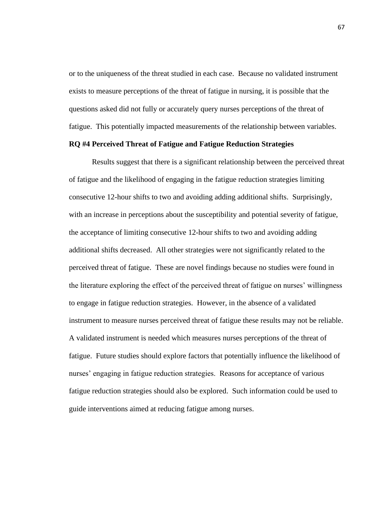or to the uniqueness of the threat studied in each case. Because no validated instrument exists to measure perceptions of the threat of fatigue in nursing, it is possible that the questions asked did not fully or accurately query nurses perceptions of the threat of fatigue. This potentially impacted measurements of the relationship between variables.

## **RQ #4 Perceived Threat of Fatigue and Fatigue Reduction Strategies**

Results suggest that there is a significant relationship between the perceived threat of fatigue and the likelihood of engaging in the fatigue reduction strategies limiting consecutive 12-hour shifts to two and avoiding adding additional shifts. Surprisingly, with an increase in perceptions about the susceptibility and potential severity of fatigue, the acceptance of limiting consecutive 12-hour shifts to two and avoiding adding additional shifts decreased. All other strategies were not significantly related to the perceived threat of fatigue. These are novel findings because no studies were found in the literature exploring the effect of the perceived threat of fatigue on nurses' willingness to engage in fatigue reduction strategies. However, in the absence of a validated instrument to measure nurses perceived threat of fatigue these results may not be reliable. A validated instrument is needed which measures nurses perceptions of the threat of fatigue. Future studies should explore factors that potentially influence the likelihood of nurses' engaging in fatigue reduction strategies. Reasons for acceptance of various fatigue reduction strategies should also be explored. Such information could be used to guide interventions aimed at reducing fatigue among nurses.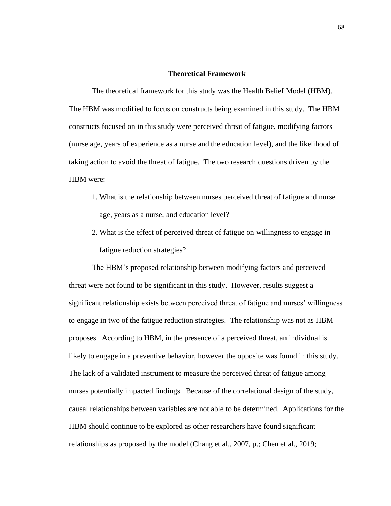## **Theoretical Framework**

The theoretical framework for this study was the Health Belief Model (HBM). The HBM was modified to focus on constructs being examined in this study. The HBM constructs focused on in this study were perceived threat of fatigue, modifying factors (nurse age, years of experience as a nurse and the education level), and the likelihood of taking action to avoid the threat of fatigue. The two research questions driven by the HBM were:

- 1. What is the relationship between nurses perceived threat of fatigue and nurse age, years as a nurse, and education level?
- 2. What is the effect of perceived threat of fatigue on willingness to engage in fatigue reduction strategies?

The HBM's proposed relationship between modifying factors and perceived threat were not found to be significant in this study. However, results suggest a significant relationship exists between perceived threat of fatigue and nurses' willingness to engage in two of the fatigue reduction strategies. The relationship was not as HBM proposes. According to HBM, in the presence of a perceived threat, an individual is likely to engage in a preventive behavior, however the opposite was found in this study. The lack of a validated instrument to measure the perceived threat of fatigue among nurses potentially impacted findings. Because of the correlational design of the study, causal relationships between variables are not able to be determined. Applications for the HBM should continue to be explored as other researchers have found significant relationships as proposed by the model (Chang et al., 2007, p.; Chen et al., 2019;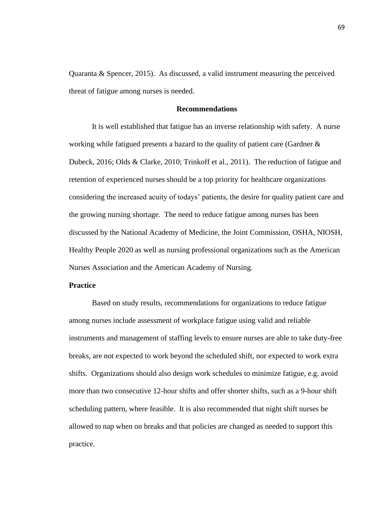Quaranta & Spencer, 2015). As discussed, a valid instrument measuring the perceived threat of fatigue among nurses is needed.

# **Recommendations**

It is well established that fatigue has an inverse relationship with safety. A nurse working while fatigued presents a hazard to the quality of patient care (Gardner & Dubeck, 2016; Olds & Clarke, 2010; Trinkoff et al., 2011). The reduction of fatigue and retention of experienced nurses should be a top priority for healthcare organizations considering the increased acuity of todays' patients, the desire for quality patient care and the growing nursing shortage. The need to reduce fatigue among nurses has been discussed by the National Academy of Medicine, the Joint Commission, OSHA, NIOSH, Healthy People 2020 as well as nursing professional organizations such as the American Nurses Association and the American Academy of Nursing.

### **Practice**

Based on study results, recommendations for organizations to reduce fatigue among nurses include assessment of workplace fatigue using valid and reliable instruments and management of staffing levels to ensure nurses are able to take duty-free breaks, are not expected to work beyond the scheduled shift, nor expected to work extra shifts. Organizations should also design work schedules to minimize fatigue, e.g. avoid more than two consecutive 12-hour shifts and offer shorter shifts, such as a 9-hour shift scheduling pattern, where feasible. It is also recommended that night shift nurses be allowed to nap when on breaks and that policies are changed as needed to support this practice.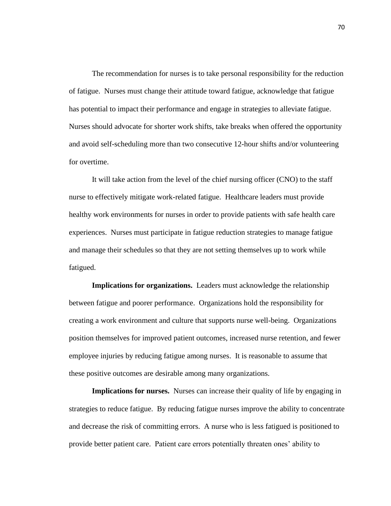The recommendation for nurses is to take personal responsibility for the reduction of fatigue. Nurses must change their attitude toward fatigue, acknowledge that fatigue has potential to impact their performance and engage in strategies to alleviate fatigue. Nurses should advocate for shorter work shifts, take breaks when offered the opportunity and avoid self-scheduling more than two consecutive 12-hour shifts and/or volunteering for overtime.

It will take action from the level of the chief nursing officer (CNO) to the staff nurse to effectively mitigate work-related fatigue. Healthcare leaders must provide healthy work environments for nurses in order to provide patients with safe health care experiences. Nurses must participate in fatigue reduction strategies to manage fatigue and manage their schedules so that they are not setting themselves up to work while fatigued.

**Implications for organizations.** Leaders must acknowledge the relationship between fatigue and poorer performance. Organizations hold the responsibility for creating a work environment and culture that supports nurse well-being. Organizations position themselves for improved patient outcomes, increased nurse retention, and fewer employee injuries by reducing fatigue among nurses. It is reasonable to assume that these positive outcomes are desirable among many organizations.

**Implications for nurses.** Nurses can increase their quality of life by engaging in strategies to reduce fatigue. By reducing fatigue nurses improve the ability to concentrate and decrease the risk of committing errors. A nurse who is less fatigued is positioned to provide better patient care. Patient care errors potentially threaten ones' ability to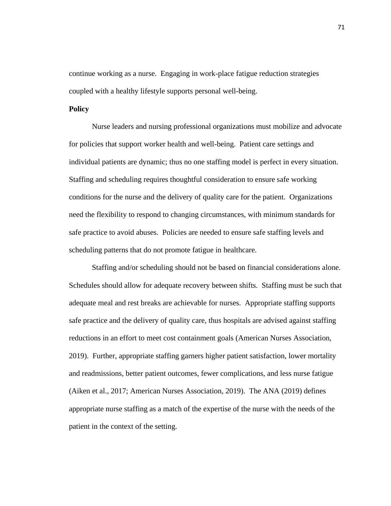continue working as a nurse. Engaging in work-place fatigue reduction strategies coupled with a healthy lifestyle supports personal well-being.

## **Policy**

Nurse leaders and nursing professional organizations must mobilize and advocate for policies that support worker health and well-being. Patient care settings and individual patients are dynamic; thus no one staffing model is perfect in every situation. Staffing and scheduling requires thoughtful consideration to ensure safe working conditions for the nurse and the delivery of quality care for the patient. Organizations need the flexibility to respond to changing circumstances, with minimum standards for safe practice to avoid abuses. Policies are needed to ensure safe staffing levels and scheduling patterns that do not promote fatigue in healthcare.

Staffing and/or scheduling should not be based on financial considerations alone. Schedules should allow for adequate recovery between shifts. Staffing must be such that adequate meal and rest breaks are achievable for nurses. Appropriate staffing supports safe practice and the delivery of quality care, thus hospitals are advised against staffing reductions in an effort to meet cost containment goals (American Nurses Association, 2019). Further, appropriate staffing garners higher patient satisfaction, lower mortality and readmissions, better patient outcomes, fewer complications, and less nurse fatigue (Aiken et al., 2017; American Nurses Association, 2019). The ANA (2019) defines appropriate nurse staffing as a match of the expertise of the nurse with the needs of the patient in the context of the setting.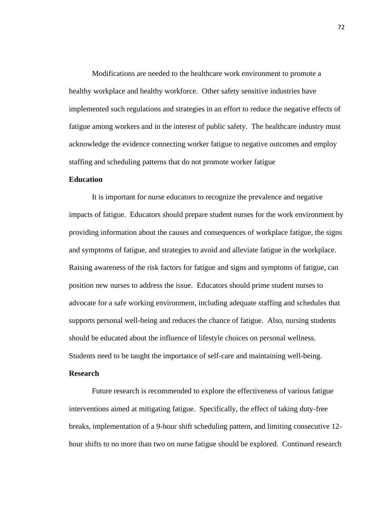Modifications are needed to the healthcare work environment to promote a healthy workplace and healthy workforce. Other safety sensitive industries have implemented such regulations and strategies in an effort to reduce the negative effects of fatigue among workers and in the interest of public safety. The healthcare industry must acknowledge the evidence connecting worker fatigue to negative outcomes and employ staffing and scheduling patterns that do not promote worker fatigue

# **Education**

It is important for nurse educators to recognize the prevalence and negative impacts of fatigue. Educators should prepare student nurses for the work environment by providing information about the causes and consequences of workplace fatigue, the signs and symptoms of fatigue, and strategies to avoid and alleviate fatigue in the workplace. Raising awareness of the risk factors for fatigue and signs and symptoms of fatigue, can position new nurses to address the issue. Educators should prime student nurses to advocate for a safe working environment, including adequate staffing and schedules that supports personal well-being and reduces the chance of fatigue. Also, nursing students should be educated about the influence of lifestyle choices on personal wellness. Students need to be taught the importance of self-care and maintaining well-being.

### **Research**

Future research is recommended to explore the effectiveness of various fatigue interventions aimed at mitigating fatigue. Specifically, the effect of taking duty-free breaks, implementation of a 9-hour shift scheduling pattern, and limiting consecutive 12 hour shifts to no more than two on nurse fatigue should be explored. Continued research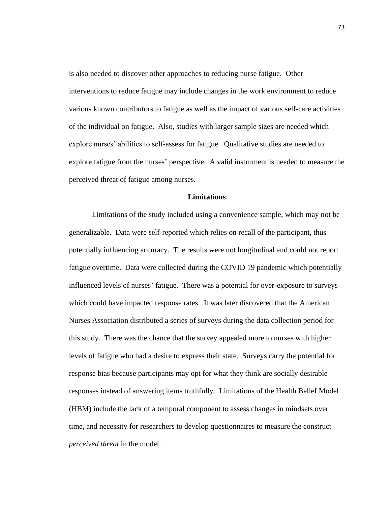is also needed to discover other approaches to reducing nurse fatigue. Other interventions to reduce fatigue may include changes in the work environment to reduce various known contributors to fatigue as well as the impact of various self-care activities of the individual on fatigue. Also, studies with larger sample sizes are needed which explore nurses' abilities to self-assess for fatigue. Qualitative studies are needed to explore fatigue from the nurses' perspective. A valid instrument is needed to measure the perceived threat of fatigue among nurses.

#### **Limitations**

Limitations of the study included using a convenience sample, which may not be generalizable. Data were self-reported which relies on recall of the participant, thus potentially influencing accuracy. The results were not longitudinal and could not report fatigue overtime. Data were collected during the COVID 19 pandemic which potentially influenced levels of nurses' fatigue. There was a potential for over-exposure to surveys which could have impacted response rates. It was later discovered that the American Nurses Association distributed a series of surveys during the data collection period for this study. There was the chance that the survey appealed more to nurses with higher levels of fatigue who had a desire to express their state. Surveys carry the potential for response bias because participants may opt for what they think are socially desirable responses instead of answering items truthfully. Limitations of the Health Belief Model (HBM) include the lack of a temporal component to assess changes in mindsets over time, and necessity for researchers to develop questionnaires to measure the construct *perceived threat* in the model.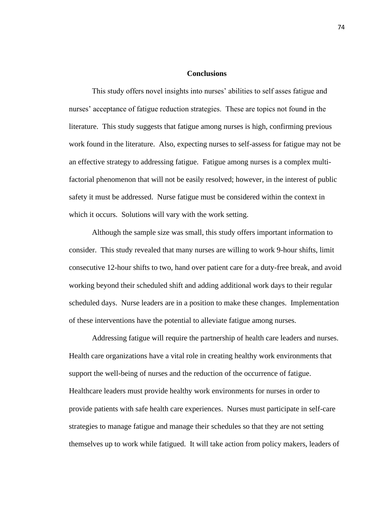### **Conclusions**

This study offers novel insights into nurses' abilities to self asses fatigue and nurses' acceptance of fatigue reduction strategies. These are topics not found in the literature. This study suggests that fatigue among nurses is high, confirming previous work found in the literature. Also, expecting nurses to self-assess for fatigue may not be an effective strategy to addressing fatigue. Fatigue among nurses is a complex multifactorial phenomenon that will not be easily resolved; however, in the interest of public safety it must be addressed. Nurse fatigue must be considered within the context in which it occurs. Solutions will vary with the work setting.

Although the sample size was small, this study offers important information to consider. This study revealed that many nurses are willing to work 9-hour shifts, limit consecutive 12-hour shifts to two, hand over patient care for a duty-free break, and avoid working beyond their scheduled shift and adding additional work days to their regular scheduled days. Nurse leaders are in a position to make these changes. Implementation of these interventions have the potential to alleviate fatigue among nurses.

Addressing fatigue will require the partnership of health care leaders and nurses. Health care organizations have a vital role in creating healthy work environments that support the well-being of nurses and the reduction of the occurrence of fatigue. Healthcare leaders must provide healthy work environments for nurses in order to provide patients with safe health care experiences. Nurses must participate in self-care strategies to manage fatigue and manage their schedules so that they are not setting themselves up to work while fatigued. It will take action from policy makers, leaders of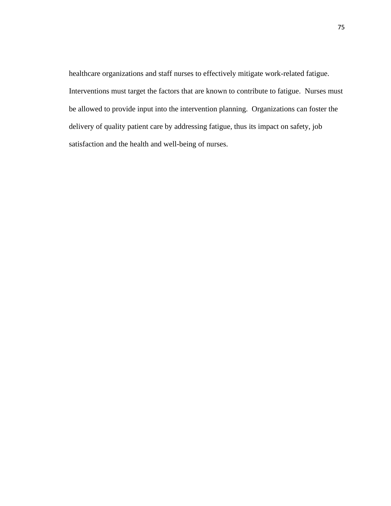healthcare organizations and staff nurses to effectively mitigate work-related fatigue. Interventions must target the factors that are known to contribute to fatigue. Nurses must be allowed to provide input into the intervention planning. Organizations can foster the delivery of quality patient care by addressing fatigue, thus its impact on safety, job satisfaction and the health and well-being of nurses.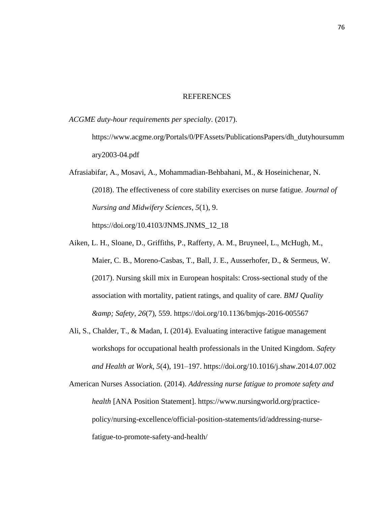#### REFERENCES

*ACGME duty-hour requirements per specialty*. (2017).

https://www.acgme.org/Portals/0/PFAssets/PublicationsPapers/dh\_dutyhoursumm ary2003-04.pdf

Afrasiabifar, A., Mosavi, A., Mohammadian-Behbahani, M., & Hoseinichenar, N. (2018). The effectiveness of core stability exercises on nurse fatigue. *Journal of Nursing and Midwifery Sciences*, *5*(1), 9.

https://doi.org/10.4103/JNMS.JNMS\_12\_18

- Aiken, L. H., Sloane, D., Griffiths, P., Rafferty, A. M., Bruyneel, L., McHugh, M., Maier, C. B., Moreno-Casbas, T., Ball, J. E., Ausserhofer, D., & Sermeus, W. (2017). Nursing skill mix in European hospitals: Cross-sectional study of the association with mortality, patient ratings, and quality of care. *BMJ Quality & Safety*, *26*(7), 559. https://doi.org/10.1136/bmjqs-2016-005567
- Ali, S., Chalder, T., & Madan, I. (2014). Evaluating interactive fatigue management workshops for occupational health professionals in the United Kingdom. *Safety and Health at Work*, *5*(4), 191–197. https://doi.org/10.1016/j.shaw.2014.07.002

American Nurses Association. (2014). *Addressing nurse fatigue to promote safety and health* [ANA Position Statement]. https://www.nursingworld.org/practicepolicy/nursing-excellence/official-position-statements/id/addressing-nursefatigue-to-promote-safety-and-health/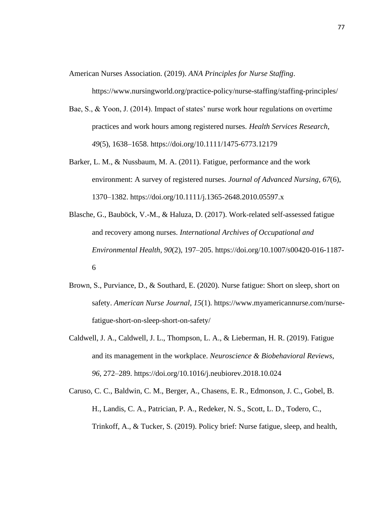American Nurses Association. (2019). *ANA Principles for Nurse Staffing*.

https://www.nursingworld.org/practice-policy/nurse-staffing/staffing-principles/

- Bae, S., & Yoon, J. (2014). Impact of states' nurse work hour regulations on overtime practices and work hours among registered nurses. *Health Services Research*, *49*(5), 1638–1658. https://doi.org/10.1111/1475-6773.12179
- Barker, L. M., & Nussbaum, M. A. (2011). Fatigue, performance and the work environment: A survey of registered nurses. *Journal of Advanced Nursing*, *67*(6), 1370–1382. https://doi.org/10.1111/j.1365-2648.2010.05597.x
- Blasche, G., Bauböck, V.-M., & Haluza, D. (2017). Work-related self-assessed fatigue and recovery among nurses. *International Archives of Occupational and Environmental Health*, *90*(2), 197–205. https://doi.org/10.1007/s00420-016-1187- 6
- Brown, S., Purviance, D., & Southard, E. (2020). Nurse fatigue: Short on sleep, short on safety. *American Nurse Journal*, *15*(1). https://www.myamericannurse.com/nursefatigue-short-on-sleep-short-on-safety/
- Caldwell, J. A., Caldwell, J. L., Thompson, L. A., & Lieberman, H. R. (2019). Fatigue and its management in the workplace. *Neuroscience & Biobehavioral Reviews*, *96*, 272–289. https://doi.org/10.1016/j.neubiorev.2018.10.024
- Caruso, C. C., Baldwin, C. M., Berger, A., Chasens, E. R., Edmonson, J. C., Gobel, B. H., Landis, C. A., Patrician, P. A., Redeker, N. S., Scott, L. D., Todero, C., Trinkoff, A., & Tucker, S. (2019). Policy brief: Nurse fatigue, sleep, and health,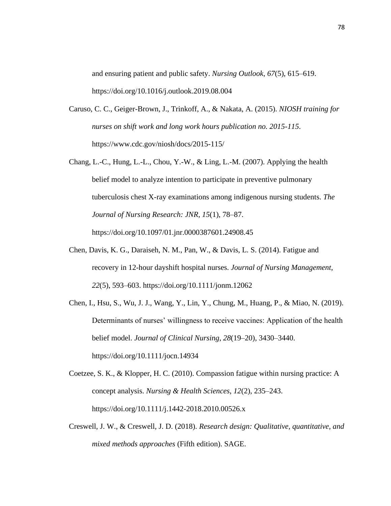and ensuring patient and public safety. *Nursing Outlook*, *67*(5), 615–619. https://doi.org/10.1016/j.outlook.2019.08.004

- Caruso, C. C., Geiger-Brown, J., Trinkoff, A., & Nakata, A. (2015). *NIOSH training for nurses on shift work and long work hours publication no. 2015-115*. https://www.cdc.gov/niosh/docs/2015-115/
- Chang, L.-C., Hung, L.-L., Chou, Y.-W., & Ling, L.-M. (2007). Applying the health belief model to analyze intention to participate in preventive pulmonary tuberculosis chest X-ray examinations among indigenous nursing students. *The Journal of Nursing Research: JNR*, *15*(1), 78–87. https://doi.org/10.1097/01.jnr.0000387601.24908.45
- Chen, Davis, K. G., Daraiseh, N. M., Pan, W., & Davis, L. S. (2014). Fatigue and recovery in 12-hour dayshift hospital nurses. *Journal of Nursing Management*, *22*(5), 593–603. https://doi.org/10.1111/jonm.12062
- Chen, I., Hsu, S., Wu, J. J., Wang, Y., Lin, Y., Chung, M., Huang, P., & Miao, N. (2019). Determinants of nurses' willingness to receive vaccines: Application of the health belief model. *Journal of Clinical Nursing*, *28*(19–20), 3430–3440. https://doi.org/10.1111/jocn.14934
- Coetzee, S. K., & Klopper, H. C. (2010). Compassion fatigue within nursing practice: A concept analysis. *Nursing & Health Sciences*, *12*(2), 235–243. https://doi.org/10.1111/j.1442-2018.2010.00526.x
- Creswell, J. W., & Creswell, J. D. (2018). *Research design: Qualitative, quantitative, and mixed methods approaches* (Fifth edition). SAGE.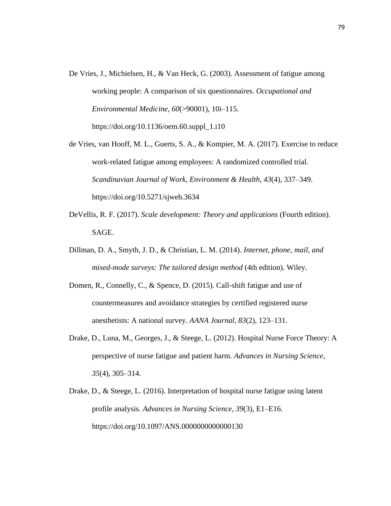- De Vries, J., Michielsen, H., & Van Heck, G. (2003). Assessment of fatigue among working people: A comparison of six questionnaires. *Occupational and Environmental Medicine*, *60*(>90001), 10i–115. https://doi.org/10.1136/oem.60.suppl\_1.i10
- de Vries, van Hooff, M. L., Guerts, S. A., & Kompier, M. A. (2017). Exercise to reduce work-related fatigue among employees: A randomized controlled trial. *Scandinavian Journal of Work, Environment & Health*, *43*(4), 337–349. https://doi.org/10.5271/sjweh.3634
- DeVellis, R. F. (2017). *Scale development: Theory and applications* (Fourth edition). SAGE.
- Dillman, D. A., Smyth, J. D., & Christian, L. M. (2014). *Internet, phone, mail, and mixed-mode surveys: The tailored design method* (4th edition). Wiley.
- Domen, R., Connelly, C., & Spence, D. (2015). Call-shift fatigue and use of countermeasures and avoidance strategies by certified registered nurse anesthetists: A national survey. *AANA Journal*, *83*(2), 123–131.
- Drake, D., Luna, M., Georges, J., & Steege, L. (2012). Hospital Nurse Force Theory: A perspective of nurse fatigue and patient harm. *Advances in Nursing Science*, *35*(4), 305–314.
- Drake, D., & Steege, L. (2016). Interpretation of hospital nurse fatigue using latent profile analysis. *Advances in Nursing Science*, *39*(3), E1–E16. https://doi.org/10.1097/ANS.0000000000000130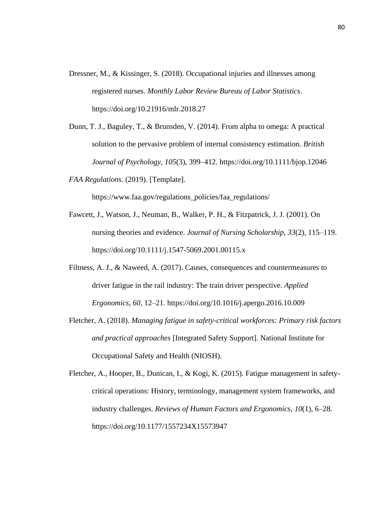- Dressner, M., & Kissinger, S. (2018). Occupational injuries and illnesses among registered nurses. *Monthly Labor Review Bureau of Labor Statistics*. https://doi.org/10.21916/mlr.2018.27
- Dunn, T. J., Baguley, T., & Brunsden, V. (2014). From alpha to omega: A practical solution to the pervasive problem of internal consistency estimation. *British Journal of Psychology*, *105*(3), 399–412. https://doi.org/10.1111/bjop.12046
- *FAA Regulations*. (2019). [Template].

https://www.faa.gov/regulations\_policies/faa\_regulations/

- Fawcett, J., Watson, J., Neuman, B., Walker, P. H., & Fitzpatrick, J. J. (2001). On nursing theories and evidence. *Journal of Nursing Scholarship*, *33*(2), 115–119. https://doi.org/10.1111/j.1547-5069.2001.00115.x
- Filtness, A. J., & Naweed, A. (2017). Causes, consequences and countermeasures to driver fatigue in the rail industry: The train driver perspective. *Applied Ergonomics*, *60*, 12–21. https://doi.org/10.1016/j.apergo.2016.10.009
- Fletcher, A. (2018). *Managing fatigue in safety-critical workforces: Primary risk factors and practical approaches* [Integrated Safety Support]. National Institute for Occupational Safety and Health (NIOSH).
- Fletcher, A., Hooper, B., Dunican, I., & Kogi, K. (2015). Fatigue management in safetycritical operations: History, terminology, management system frameworks, and industry challenges. *Reviews of Human Factors and Ergonomics*, *10*(1), 6–28. https://doi.org/10.1177/1557234X15573947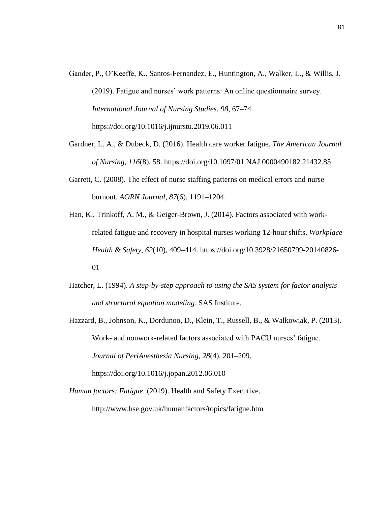- Gander, P., O'Keeffe, K., Santos-Fernandez, E., Huntington, A., Walker, L., & Willis, J. (2019). Fatigue and nurses' work patterns: An online questionnaire survey. *International Journal of Nursing Studies*, *98*, 67–74. https://doi.org/10.1016/j.ijnurstu.2019.06.011
- Gardner, L. A., & Dubeck, D. (2016). Health care worker fatigue. *The American Journal of Nursing*, *116*(8), 58. https://doi.org/10.1097/01.NAJ.0000490182.21432.85
- Garrett, C. (2008). The effect of nurse staffing patterns on medical errors and nurse burnout. *AORN Journal*, *87*(6), 1191–1204.
- Han, K., Trinkoff, A. M., & Geiger-Brown, J. (2014). Factors associated with workrelated fatigue and recovery in hospital nurses working 12-hour shifts. *Workplace Health & Safety*, *62*(10), 409–414. https://doi.org/10.3928/21650799-20140826- 01
- Hatcher, L. (1994). *A step-by-step approach to using the SAS system for factor analysis and structural equation modeling*. SAS Institute.
- Hazzard, B., Johnson, K., Dordunoo, D., Klein, T., Russell, B., & Walkowiak, P. (2013). Work- and nonwork-related factors associated with PACU nurses' fatigue. *Journal of PeriAnesthesia Nursing*, *28*(4), 201–209.

https://doi.org/10.1016/j.jopan.2012.06.010

*Human factors: Fatigue*. (2019). Health and Safety Executive.

http://www.hse.gov.uk/humanfactors/topics/fatigue.htm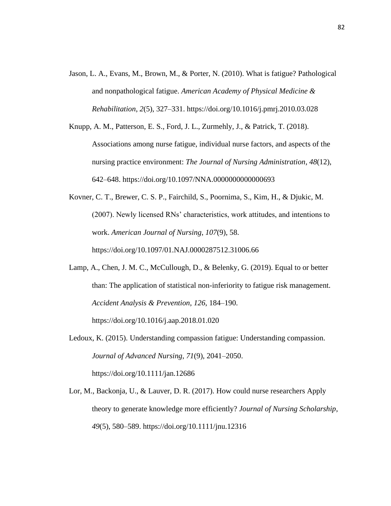- Jason, L. A., Evans, M., Brown, M., & Porter, N. (2010). What is fatigue? Pathological and nonpathological fatigue. *American Academy of Physical Medicine & Rehabilitation*, *2*(5), 327–331. https://doi.org/10.1016/j.pmrj.2010.03.028
- Knupp, A. M., Patterson, E. S., Ford, J. L., Zurmehly, J., & Patrick, T. (2018). Associations among nurse fatigue, individual nurse factors, and aspects of the nursing practice environment: *The Journal of Nursing Administration*, *48*(12), 642–648. https://doi.org/10.1097/NNA.0000000000000693
- Kovner, C. T., Brewer, C. S. P., Fairchild, S., Poornima, S., Kim, H., & Djukic, M. (2007). Newly licensed RNs' characteristics, work attitudes, and intentions to work. *American Journal of Nursing*, *107*(9), 58. https://doi.org/10.1097/01.NAJ.0000287512.31006.66
- Lamp, A., Chen, J. M. C., McCullough, D., & Belenky, G. (2019). Equal to or better than: The application of statistical non-inferiority to fatigue risk management. *Accident Analysis & Prevention*, *126*, 184–190.

https://doi.org/10.1016/j.aap.2018.01.020

- Ledoux, K. (2015). Understanding compassion fatigue: Understanding compassion. *Journal of Advanced Nursing*, *71*(9), 2041–2050. https://doi.org/10.1111/jan.12686
- Lor, M., Backonja, U., & Lauver, D. R. (2017). How could nurse researchers Apply theory to generate knowledge more efficiently? *Journal of Nursing Scholarship*, *49*(5), 580–589. https://doi.org/10.1111/jnu.12316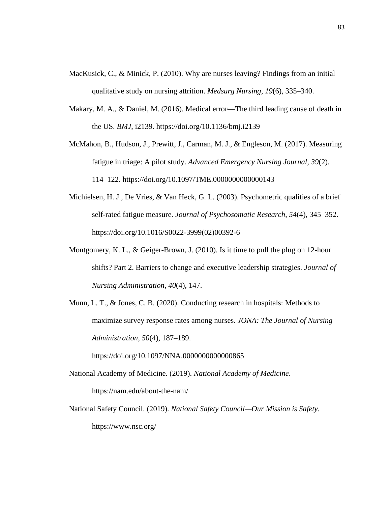- MacKusick, C., & Minick, P. (2010). Why are nurses leaving? Findings from an initial qualitative study on nursing attrition. *Medsurg Nursing*, *19*(6), 335–340.
- Makary, M. A., & Daniel, M. (2016). Medical error—The third leading cause of death in the US. *BMJ*, i2139. https://doi.org/10.1136/bmj.i2139
- McMahon, B., Hudson, J., Prewitt, J., Carman, M. J., & Engleson, M. (2017). Measuring fatigue in triage: A pilot study. *Advanced Emergency Nursing Journal*, *39*(2), 114–122. https://doi.org/10.1097/TME.0000000000000143
- Michielsen, H. J., De Vries, & Van Heck, G. L. (2003). Psychometric qualities of a brief self-rated fatigue measure. *Journal of Psychosomatic Research*, *54*(4), 345–352. https://doi.org/10.1016/S0022-3999(02)00392-6
- Montgomery, K. L., & Geiger-Brown, J. (2010). Is it time to pull the plug on 12-hour shifts? Part 2. Barriers to change and executive leadership strategies. *Journal of Nursing Administration*, *40*(4), 147.
- Munn, L. T., & Jones, C. B. (2020). Conducting research in hospitals: Methods to maximize survey response rates among nurses. *JONA: The Journal of Nursing Administration*, *50*(4), 187–189.

https://doi.org/10.1097/NNA.00000000000000865

- National Academy of Medicine. (2019). *National Academy of Medicine*. https://nam.edu/about-the-nam/
- National Safety Council. (2019). *National Safety Council—Our Mission is Safety*. https://www.nsc.org/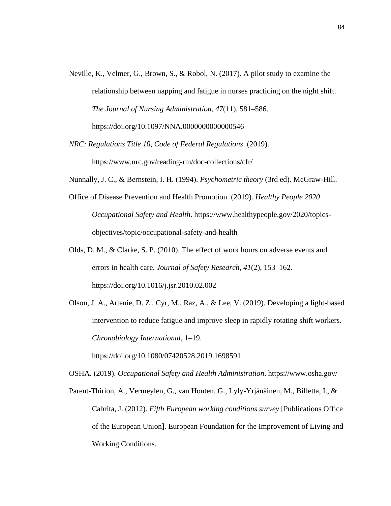- Neville, K., Velmer, G., Brown, S., & Robol, N. (2017). A pilot study to examine the relationship between napping and fatigue in nurses practicing on the night shift. *The Journal of Nursing Administration*, *47*(11), 581–586. https://doi.org/10.1097/NNA.0000000000000546
- *NRC: Regulations Title 10, Code of Federal Regulations*. (2019). https://www.nrc.gov/reading-rm/doc-collections/cfr/
- Nunnally, J. C., & Bernstein, I. H. (1994). *Psychometric theory* (3rd ed). McGraw-Hill.
- Office of Disease Prevention and Health Promotion. (2019). *Healthy People 2020 Occupational Safety and Health*. https://www.healthypeople.gov/2020/topicsobjectives/topic/occupational-safety-and-health
- Olds, D. M., & Clarke, S. P. (2010). The effect of work hours on adverse events and errors in health care. *Journal of Safety Research*, *41*(2), 153–162. https://doi.org/10.1016/j.jsr.2010.02.002
- Olson, J. A., Artenie, D. Z., Cyr, M., Raz, A., & Lee, V. (2019). Developing a light-based intervention to reduce fatigue and improve sleep in rapidly rotating shift workers. *Chronobiology International*, 1–19.

https://doi.org/10.1080/07420528.2019.1698591

OSHA. (2019). *Occupational Safety and Health Administration*. https://www.osha.gov/

Parent-Thirion, A., Vermeylen, G., van Houten, G., Lyly-Yrjänäinen, M., Billetta, I., & Cabrita, J. (2012). *Fifth European working conditions survey* [Publications Office of the European Union]. European Foundation for the Improvement of Living and Working Conditions.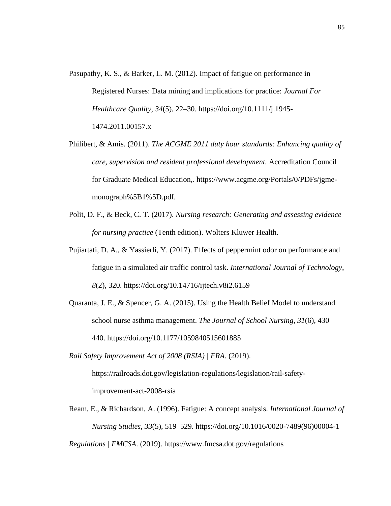- Pasupathy, K. S., & Barker, L. M. (2012). Impact of fatigue on performance in Registered Nurses: Data mining and implications for practice: *Journal For Healthcare Quality*, *34*(5), 22–30. https://doi.org/10.1111/j.1945- 1474.2011.00157.x
- Philibert, & Amis. (2011). *The ACGME 2011 duty hour standards: Enhancing quality of care, supervision and resident professional development.* Accreditation Council for Graduate Medical Education,. https://www.acgme.org/Portals/0/PDFs/jgmemonograph%5B1%5D.pdf.
- Polit, D. F., & Beck, C. T. (2017). *Nursing research: Generating and assessing evidence for nursing practice* (Tenth edition). Wolters Kluwer Health.
- Pujiartati, D. A., & Yassierli, Y. (2017). Effects of peppermint odor on performance and fatigue in a simulated air traffic control task. *International Journal of Technology*, *8*(2), 320. https://doi.org/10.14716/ijtech.v8i2.6159
- Quaranta, J. E., & Spencer, G. A. (2015). Using the Health Belief Model to understand school nurse asthma management. *The Journal of School Nursing*, *31*(6), 430– 440. https://doi.org/10.1177/1059840515601885
- *Rail Safety Improvement Act of 2008 (RSIA) | FRA*. (2019).

https://railroads.dot.gov/legislation-regulations/legislation/rail-safetyimprovement-act-2008-rsia

Ream, E., & Richardson, A. (1996). Fatigue: A concept analysis. *International Journal of Nursing Studies*, *33*(5), 519–529. https://doi.org/10.1016/0020-7489(96)00004-1

*Regulations | FMCSA*. (2019). https://www.fmcsa.dot.gov/regulations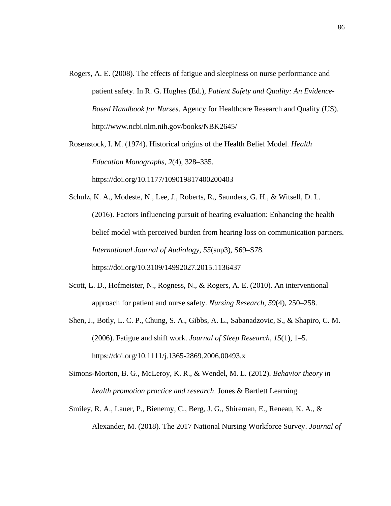- Rogers, A. E. (2008). The effects of fatigue and sleepiness on nurse performance and patient safety. In R. G. Hughes (Ed.), *Patient Safety and Quality: An Evidence-Based Handbook for Nurses*. Agency for Healthcare Research and Quality (US). http://www.ncbi.nlm.nih.gov/books/NBK2645/
- Rosenstock, I. M. (1974). Historical origins of the Health Belief Model. *Health Education Monographs*, *2*(4), 328–335. https://doi.org/10.1177/109019817400200403

Schulz, K. A., Modeste, N., Lee, J., Roberts, R., Saunders, G. H., & Witsell, D. L. (2016). Factors influencing pursuit of hearing evaluation: Enhancing the health belief model with perceived burden from hearing loss on communication partners. *International Journal of Audiology*, *55*(sup3), S69–S78. https://doi.org/10.3109/14992027.2015.1136437

- Scott, L. D., Hofmeister, N., Rogness, N., & Rogers, A. E. (2010). An interventional approach for patient and nurse safety. *Nursing Research*, *59*(4), 250–258.
- Shen, J., Botly, L. C. P., Chung, S. A., Gibbs, A. L., Sabanadzovic, S., & Shapiro, C. M. (2006). Fatigue and shift work. *Journal of Sleep Research*, *15*(1), 1–5. https://doi.org/10.1111/j.1365-2869.2006.00493.x
- Simons-Morton, B. G., McLeroy, K. R., & Wendel, M. L. (2012). *Behavior theory in health promotion practice and research*. Jones & Bartlett Learning.
- Smiley, R. A., Lauer, P., Bienemy, C., Berg, J. G., Shireman, E., Reneau, K. A., & Alexander, M. (2018). The 2017 National Nursing Workforce Survey. *Journal of*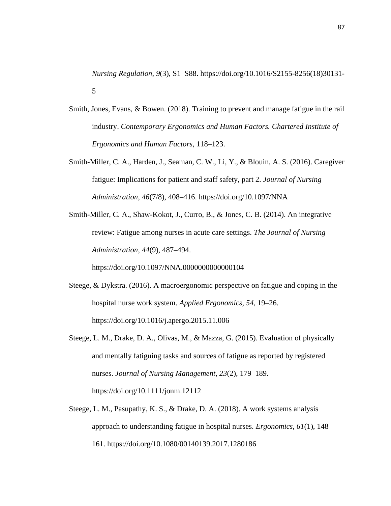*Nursing Regulation*, *9*(3), S1–S88. https://doi.org/10.1016/S2155-8256(18)30131- 5

- Smith, Jones, Evans, & Bowen. (2018). Training to prevent and manage fatigue in the rail industry. *Contemporary Ergonomics and Human Factors. Chartered Institute of Ergonomics and Human Factors*, 118–123.
- Smith-Miller, C. A., Harden, J., Seaman, C. W., Li, Y., & Blouin, A. S. (2016). Caregiver fatigue: Implications for patient and staff safety, part 2. *Journal of Nursing Administration*, *46*(7/8), 408–416. https://doi.org/10.1097/NNA
- Smith-Miller, C. A., Shaw-Kokot, J., Curro, B., & Jones, C. B. (2014). An integrative review: Fatigue among nurses in acute care settings. *The Journal of Nursing Administration*, *44*(9), 487–494.

https://doi.org/10.1097/NNA.0000000000000104

- Steege, & Dykstra. (2016). A macroergonomic perspective on fatigue and coping in the hospital nurse work system. *Applied Ergonomics*, *54*, 19–26. https://doi.org/10.1016/j.apergo.2015.11.006
- Steege, L. M., Drake, D. A., Olivas, M., & Mazza, G. (2015). Evaluation of physically and mentally fatiguing tasks and sources of fatigue as reported by registered nurses. *Journal of Nursing Management*, *23*(2), 179–189. https://doi.org/10.1111/jonm.12112
- Steege, L. M., Pasupathy, K. S., & Drake, D. A. (2018). A work systems analysis approach to understanding fatigue in hospital nurses. *Ergonomics*, *61*(1), 148– 161. https://doi.org/10.1080/00140139.2017.1280186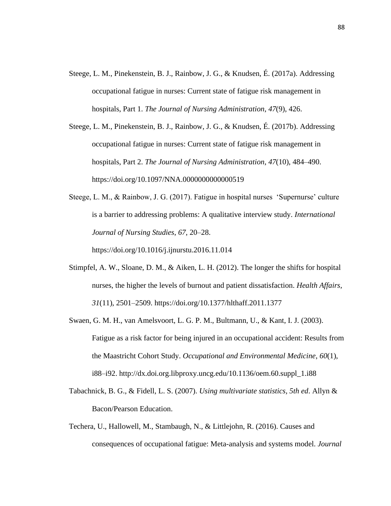Steege, L. M., Pinekenstein, B. J., Rainbow, J. G., & Knudsen, É. (2017a). Addressing occupational fatigue in nurses: Current state of fatigue risk management in hospitals, Part 1. *The Journal of Nursing Administration*, *47*(9), 426.

Steege, L. M., Pinekenstein, B. J., Rainbow, J. G., & Knudsen, É. (2017b). Addressing occupational fatigue in nurses: Current state of fatigue risk management in hospitals, Part 2. *The Journal of Nursing Administration*, *47*(10), 484–490. https://doi.org/10.1097/NNA.0000000000000519

Steege, L. M., & Rainbow, J. G. (2017). Fatigue in hospital nurses 'Supernurse' culture is a barrier to addressing problems: A qualitative interview study. *International Journal of Nursing Studies*, *67*, 20–28.

https://doi.org/10.1016/j.ijnurstu.2016.11.014

- Stimpfel, A. W., Sloane, D. M., & Aiken, L. H. (2012). The longer the shifts for hospital nurses, the higher the levels of burnout and patient dissatisfaction. *Health Affairs*, *31*(11), 2501–2509. https://doi.org/10.1377/hlthaff.2011.1377
- Swaen, G. M. H., van Amelsvoort, L. G. P. M., Bultmann, U., & Kant, I. J. (2003). Fatigue as a risk factor for being injured in an occupational accident: Results from the Maastricht Cohort Study. *Occupational and Environmental Medicine*, *60*(1), i88–i92. http://dx.doi.org.libproxy.uncg.edu/10.1136/oem.60.suppl\_1.i88
- Tabachnick, B. G., & Fidell, L. S. (2007). *Using multivariate statistics, 5th ed*. Allyn & Bacon/Pearson Education.
- Techera, U., Hallowell, M., Stambaugh, N., & Littlejohn, R. (2016). Causes and consequences of occupational fatigue: Meta-analysis and systems model. *Journal*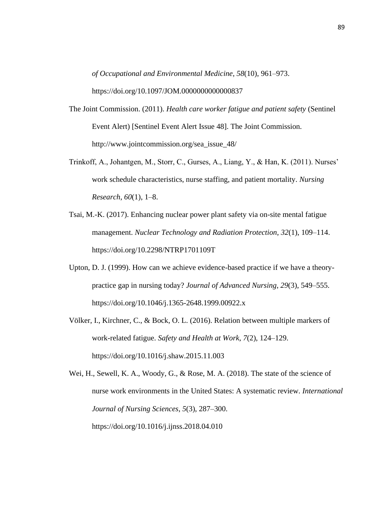*of Occupational and Environmental Medicine*, *58*(10), 961–973.

https://doi.org/10.1097/JOM.0000000000000837

- The Joint Commission. (2011). *Health care worker fatigue and patient safety* (Sentinel Event Alert) [Sentinel Event Alert Issue 48]. The Joint Commission. http://www.jointcommission.org/sea\_issue\_48/
- Trinkoff, A., Johantgen, M., Storr, C., Gurses, A., Liang, Y., & Han, K. (2011). Nurses' work schedule characteristics, nurse staffing, and patient mortality. *Nursing Research*, *60*(1), 1–8.
- Tsai, M.-K. (2017). Enhancing nuclear power plant safety via on-site mental fatigue management. *Nuclear Technology and Radiation Protection*, *32*(1), 109–114. https://doi.org/10.2298/NTRP1701109T
- Upton, D. J. (1999). How can we achieve evidence-based practice if we have a theorypractice gap in nursing today? *Journal of Advanced Nursing*, *29*(3), 549–555. https://doi.org/10.1046/j.1365-2648.1999.00922.x
- Völker, I., Kirchner, C., & Bock, O. L. (2016). Relation between multiple markers of work-related fatigue. *Safety and Health at Work*, *7*(2), 124–129. https://doi.org/10.1016/j.shaw.2015.11.003

Wei, H., Sewell, K. A., Woody, G., & Rose, M. A. (2018). The state of the science of nurse work environments in the United States: A systematic review. *International Journal of Nursing Sciences*, *5*(3), 287–300. https://doi.org/10.1016/j.ijnss.2018.04.010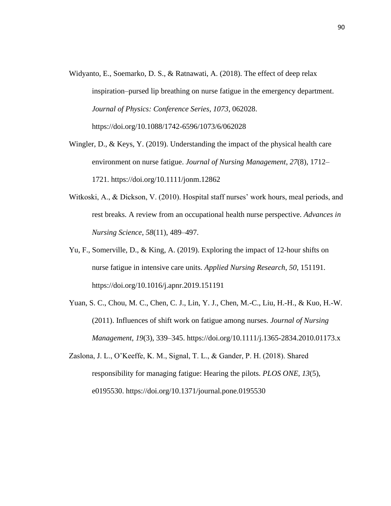- Widyanto, E., Soemarko, D. S., & Ratnawati, A. (2018). The effect of deep relax inspiration–pursed lip breathing on nurse fatigue in the emergency department. *Journal of Physics: Conference Series*, *1073*, 062028. https://doi.org/10.1088/1742-6596/1073/6/062028
- Wingler, D., & Keys, Y. (2019). Understanding the impact of the physical health care environment on nurse fatigue. *Journal of Nursing Management*, *27*(8), 1712– 1721. https://doi.org/10.1111/jonm.12862
- Witkoski, A., & Dickson, V. (2010). Hospital staff nurses' work hours, meal periods, and rest breaks. A review from an occupational health nurse perspective. *Advances in Nursing Science*, *58*(11), 489–497.
- Yu, F., Somerville, D., & King, A. (2019). Exploring the impact of 12-hour shifts on nurse fatigue in intensive care units. *Applied Nursing Research*, *50*, 151191. https://doi.org/10.1016/j.apnr.2019.151191
- Yuan, S. C., Chou, M. C., Chen, C. J., Lin, Y. J., Chen, M.-C., Liu, H.-H., & Kuo, H.-W. (2011). Influences of shift work on fatigue among nurses. *Journal of Nursing Management*, *19*(3), 339–345. https://doi.org/10.1111/j.1365-2834.2010.01173.x
- Zaslona, J. L., O'Keeffe, K. M., Signal, T. L., & Gander, P. H. (2018). Shared responsibility for managing fatigue: Hearing the pilots. *PLOS ONE*, *13*(5), e0195530. https://doi.org/10.1371/journal.pone.0195530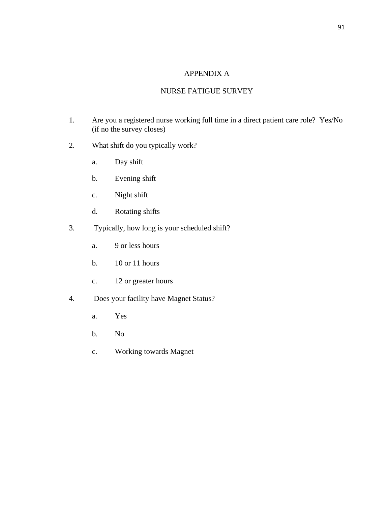# APPENDIX A

# NURSE FATIGUE SURVEY

- 1. Are you a registered nurse working full time in a direct patient care role? Yes/No (if no the survey closes)
- 2. What shift do you typically work?
	- a. Day shift
	- b. Evening shift
	- c. Night shift
	- d. Rotating shifts
- 3. Typically, how long is your scheduled shift?
	- a. 9 or less hours
	- b. 10 or 11 hours
	- c. 12 or greater hours
- 4. Does your facility have Magnet Status?
	- a. Yes
	- b. No
	- c. Working towards Magnet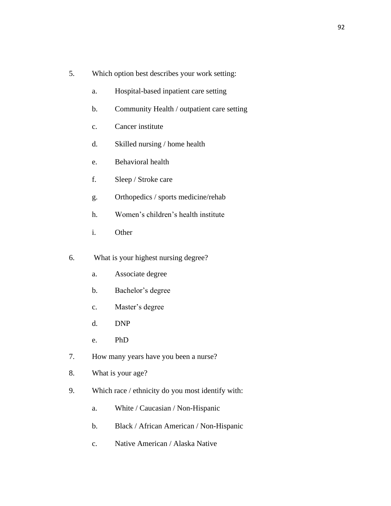- 5. Which option best describes your work setting:
	- a. Hospital-based inpatient care setting
	- b. Community Health / outpatient care setting
	- c. Cancer institute
	- d. Skilled nursing / home health
	- e. Behavioral health
	- f. Sleep / Stroke care
	- g. Orthopedics / sports medicine/rehab
	- h. Women's children's health institute
	- i. Other
- 6. What is your highest nursing degree?
	- a. Associate degree
	- b. Bachelor's degree
	- c. Master's degree
	- d. DNP
	- e. PhD
- 7. How many years have you been a nurse?
- 8. What is your age?
- 9. Which race / ethnicity do you most identify with:
	- a. White / Caucasian / Non-Hispanic
	- b. Black / African American / Non-Hispanic
	- c. Native American / Alaska Native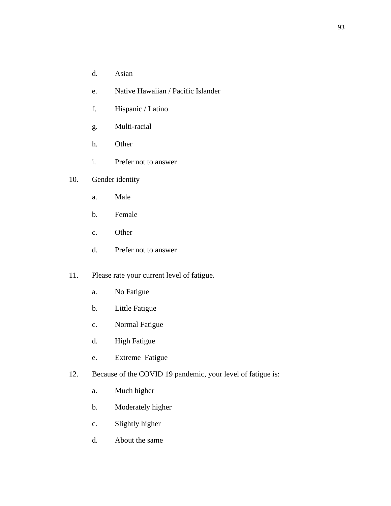- d. Asian
- e. Native Hawaiian / Pacific Islander
- f. Hispanic / Latino
- g. Multi-racial
- h. Other
- i. Prefer not to answer
- 10. Gender identity
	- a. Male
	- b. Female
	- c. Other
	- d. Prefer not to answer
- 11. Please rate your current level of fatigue.
	- a. No Fatigue
	- b. Little Fatigue
	- c. Normal Fatigue
	- d. High Fatigue
	- e. Extreme Fatigue
- 12. Because of the COVID 19 pandemic, your level of fatigue is:
	- a. Much higher
	- b. Moderately higher
	- c. Slightly higher
	- d. About the same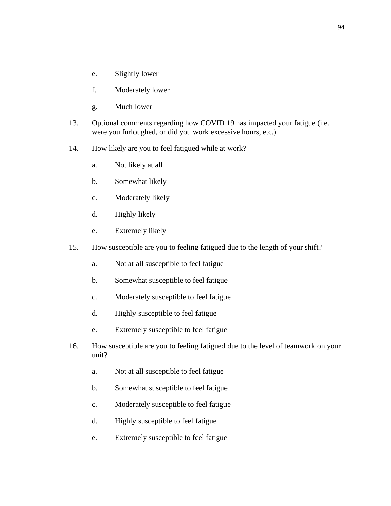- e. Slightly lower
- f. Moderately lower
- g. Much lower
- 13. Optional comments regarding how COVID 19 has impacted your fatigue (i.e. were you furloughed, or did you work excessive hours, etc.)
- 14. How likely are you to feel fatigued while at work?
	- a. Not likely at all
	- b. Somewhat likely
	- c. Moderately likely
	- d. Highly likely
	- e. Extremely likely
- 15. How susceptible are you to feeling fatigued due to the length of your shift?
	- a. Not at all susceptible to feel fatigue
	- b. Somewhat susceptible to feel fatigue
	- c. Moderately susceptible to feel fatigue
	- d. Highly susceptible to feel fatigue
	- e. Extremely susceptible to feel fatigue
- 16. How susceptible are you to feeling fatigued due to the level of teamwork on your unit?
	- a. Not at all susceptible to feel fatigue
	- b. Somewhat susceptible to feel fatigue
	- c. Moderately susceptible to feel fatigue
	- d. Highly susceptible to feel fatigue
	- e. Extremely susceptible to feel fatigue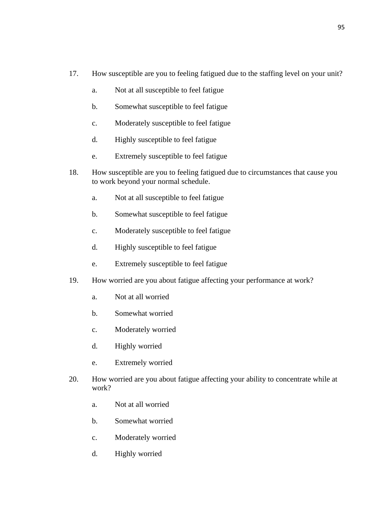- 17. How susceptible are you to feeling fatigued due to the staffing level on your unit?
	- a. Not at all susceptible to feel fatigue
	- b. Somewhat susceptible to feel fatigue
	- c. Moderately susceptible to feel fatigue
	- d. Highly susceptible to feel fatigue
	- e. Extremely susceptible to feel fatigue
- 18. How susceptible are you to feeling fatigued due to circumstances that cause you to work beyond your normal schedule.
	- a. Not at all susceptible to feel fatigue
	- b. Somewhat susceptible to feel fatigue
	- c. Moderately susceptible to feel fatigue
	- d. Highly susceptible to feel fatigue
	- e. Extremely susceptible to feel fatigue
- 19. How worried are you about fatigue affecting your performance at work?
	- a. Not at all worried
	- b. Somewhat worried
	- c. Moderately worried
	- d. Highly worried
	- e. Extremely worried
- 20. How worried are you about fatigue affecting your ability to concentrate while at work?
	- a. Not at all worried
	- b. Somewhat worried
	- c. Moderately worried
	- d. Highly worried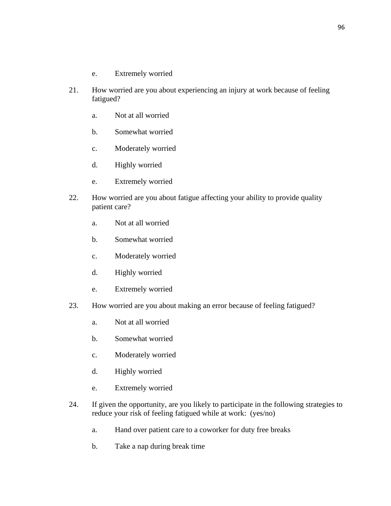- e. Extremely worried
- 21. How worried are you about experiencing an injury at work because of feeling fatigued?
	- a. Not at all worried
	- b. Somewhat worried
	- c. Moderately worried
	- d. Highly worried
	- e. Extremely worried
- 22. How worried are you about fatigue affecting your ability to provide quality patient care?
	- a. Not at all worried
	- b. Somewhat worried
	- c. Moderately worried
	- d. Highly worried
	- e. Extremely worried
- 23. How worried are you about making an error because of feeling fatigued?
	- a. Not at all worried
	- b. Somewhat worried
	- c. Moderately worried
	- d. Highly worried
	- e. Extremely worried
- 24. If given the opportunity, are you likely to participate in the following strategies to reduce your risk of feeling fatigued while at work: (yes/no)
	- a. Hand over patient care to a coworker for duty free breaks
	- b. Take a nap during break time